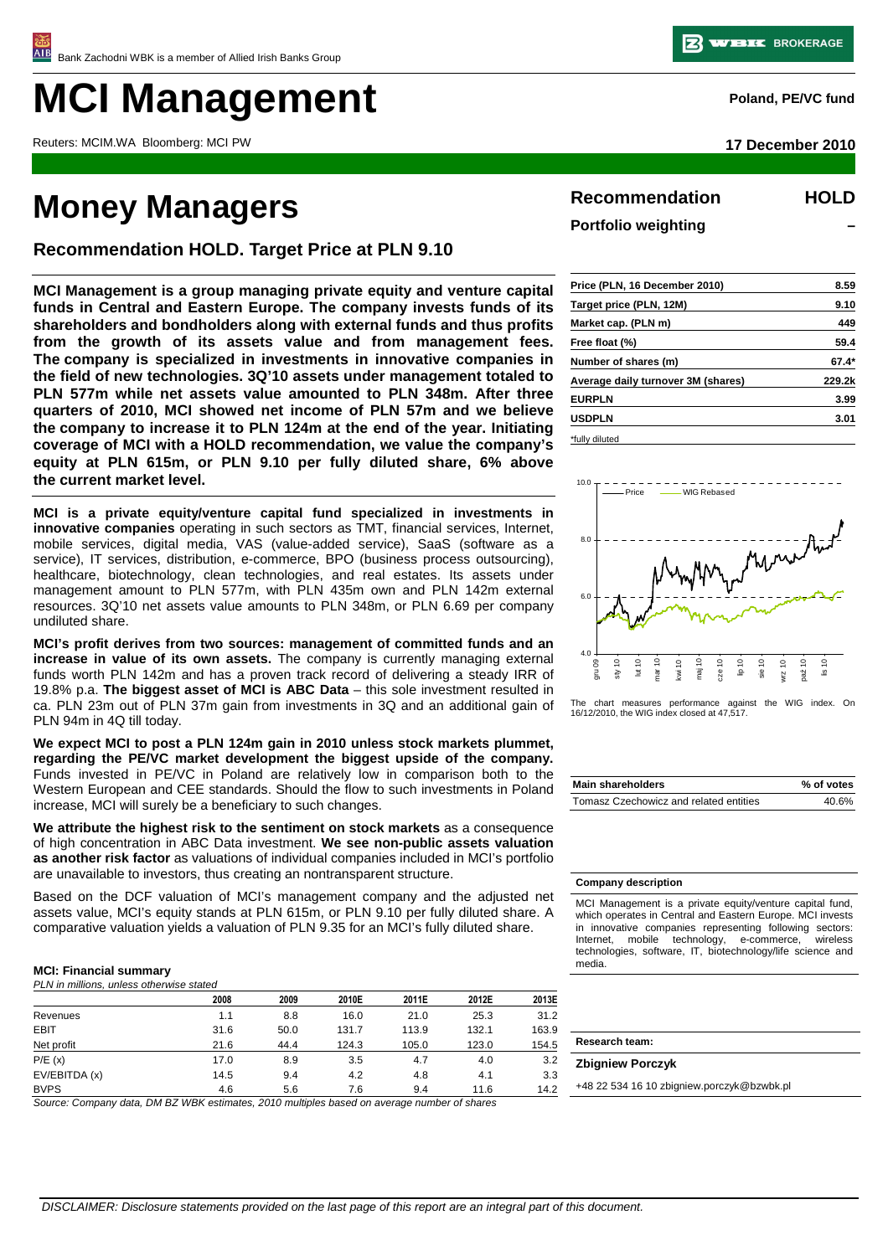# **MCI Management Poland, PE/VC fund**

Reuters: MCIM.WA Bloomberg: MCI PW **17 December 2010**

# **Money Managers**

**Recommendation HOLD. Target Price at PLN 9.10**

**MCI Management is a group managing private equity and venture capital funds in Central and Eastern Europe. The company invests funds of its shareholders and bondholders along with external funds and thus profits from the growth of its assets value and from management fees. The company is specialized in investments in innovative companies in the field of new technologies. 3Q'10 assets under management totaled to PLN 577m while net assets value amounted to PLN 348m. After three quarters of 2010, MCI showed net income of PLN 57m and we believe the company to increase it to PLN 124m at the end of the year. Initiating coverage of MCI with a HOLD recommendation, we value the company's equity at PLN 615m, or PLN 9.10 per fully diluted share, 6% above the current market level.**

**MCI is a private equity/venture capital fund specialized in investments in innovative companies** operating in such sectors as TMT, financial services, Internet, mobile services, digital media, VAS (value-added service), SaaS (software as a service), IT services, distribution, e-commerce, BPO (business process outsourcing), healthcare, biotechnology, clean technologies, and real estates. Its assets under management amount to PLN 577m, with PLN 435m own and PLN 142m external resources. 3Q'10 net assets value amounts to PLN 348m, or PLN 6.69 per company undiluted share.

**MCI's profit derives from two sources: management of committed funds and an increase in value of its own assets.** The company is currently managing external funds worth PLN 142m and has a proven track record of delivering a steady IRR of 19.8% p.a. **The biggest asset of MCI is ABC Data** – this sole investment resulted in ca. PLN 23m out of PLN 37m gain from investments in 3Q and an additional gain of PLN 94m in 4Q till today.

**We expect MCI to post a PLN 124m gain in 2010 unless stock markets plummet, regarding the PE/VC market development the biggest upside of the company.** Funds invested in PE/VC in Poland are relatively low in comparison both to the Western European and CEE standards. Should the flow to such investments in Poland increase, MCI will surely be a beneficiary to such changes.

**We attribute the highest risk to the sentiment on stock markets** as a consequence of high concentration in ABC Data investment. **We see non-public assets valuation as another risk factor** as valuations of individual companies included in MCI's portfolio are unavailable to investors, thus creating an nontransparent structure.

Based on the DCF valuation of MCI's management company and the adjusted net assets value, MCI's equity stands at PLN 615m, or PLN 9.10 per fully diluted share. A comparative valuation yields a valuation of PLN 9.35 for an MCI's fully diluted share.

# **MCI: Financial summary**

| PLN in millions, unless otherwise stated |      |      |       |       |       |       |  |  |  |
|------------------------------------------|------|------|-------|-------|-------|-------|--|--|--|
|                                          | 2008 | 2009 | 2010E | 2011E | 2012E | 2013E |  |  |  |
| Revenues                                 | 1.1  | 8.8  | 16.0  | 21.0  | 25.3  | 31.2  |  |  |  |
| <b>EBIT</b>                              | 31.6 | 50.0 | 131.7 | 113.9 | 132.1 | 163.9 |  |  |  |
| Net profit                               | 21.6 | 44.4 | 124.3 | 105.0 | 123.0 | 154.5 |  |  |  |
| P/E(x)                                   | 17.0 | 8.9  | 3.5   | 4.7   | 4.0   | 3.2   |  |  |  |
| EV/EBITDA (x)                            | 14.5 | 9.4  | 4.2   | 4.8   | 4.1   | 3.3   |  |  |  |
| <b>BVPS</b>                              | 4.6  | 5.6  | 7.6   | 9.4   | 11.6  | 14.2  |  |  |  |

Source: Company data, DM BZ WBK estimates, 2010 multiples based on average number of shares

**Recommendation Portfolio weighting HOLD –** 

| Price (PLN, 16 December 2010)      | 8.59    |
|------------------------------------|---------|
| Target price (PLN, 12M)            | 9.10    |
| Market cap. (PLN m)                | 449     |
| Free float (%)                     | 59.4    |
| Number of shares (m)               | $67.4*$ |
| Average daily turnover 3M (shares) | 229.2k  |
| <b>EURPLN</b>                      | 3.99    |
| <b>USDPLN</b>                      | 3.01    |
| *fully diluted                     |         |



chart measures performance against the WIG index. On 16/12/2010, the WIG index closed at 47,517.

| Main shareholders                      | % of votes |
|----------------------------------------|------------|
| Tomasz Czechowicz and related entities | 40 6%      |

#### **Company description**

MCI Management is a private equity/venture capital fund, which operates in Central and Eastern Europe. MCI invests in innovative companies representing following sectors: Internet, mobile technology, e-commerce, wireless technologies, software, IT, biotechnology/life science and media.

### **Research team:**

#### **Zbigniew Porczyk**

+48 22 534 16 10 zbigniew.porczyk@bzwbk.pl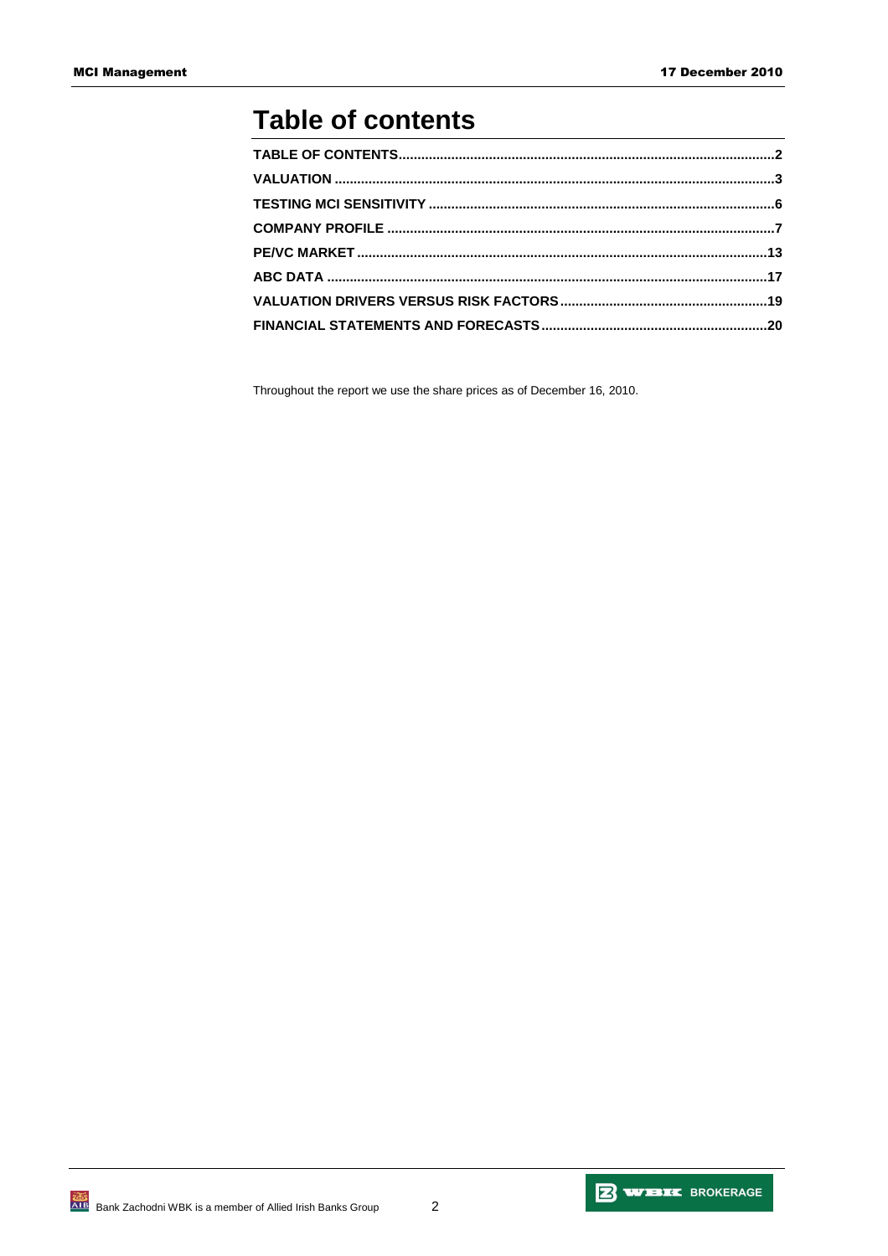# **Table of contents**

Throughout the report we use the share prices as of December 16, 2010.

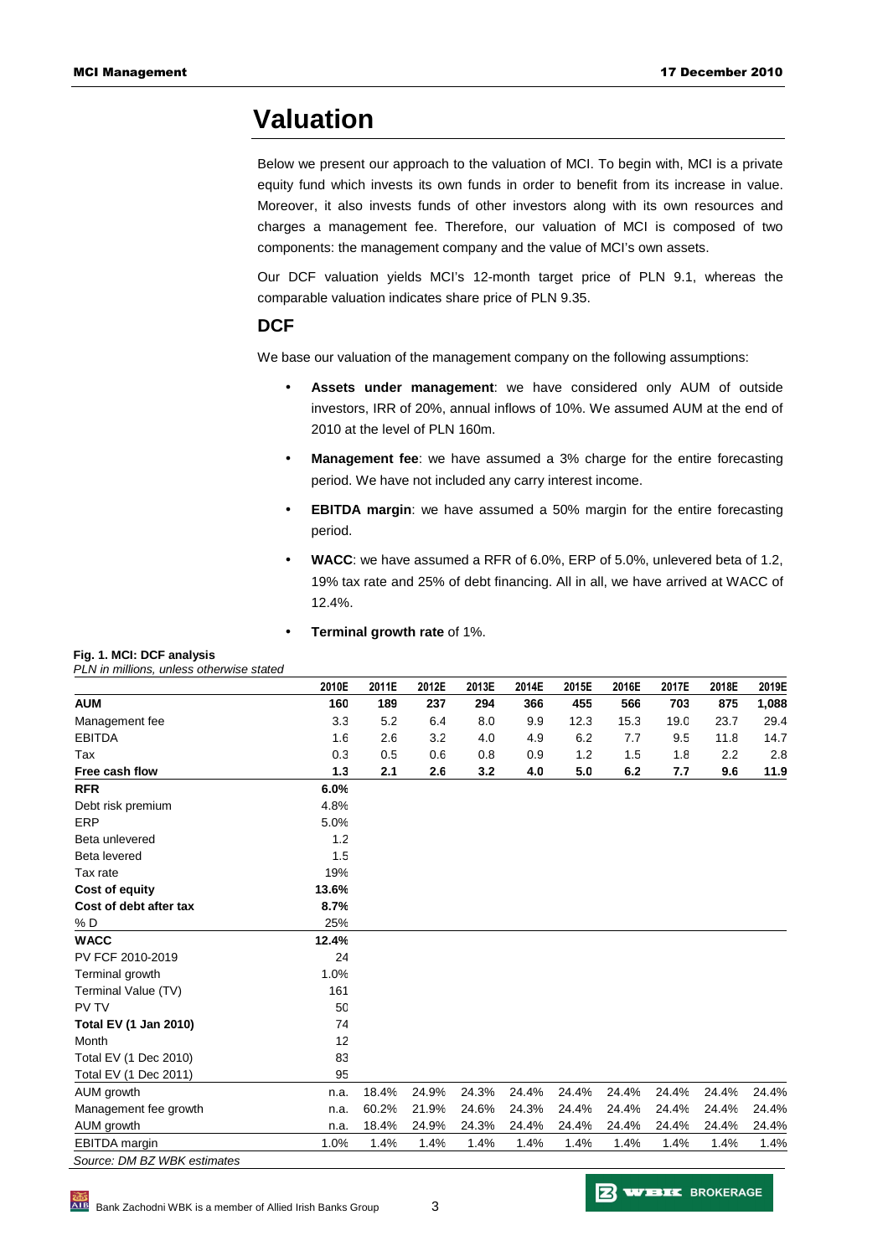# **Valuation**

Below we present our approach to the valuation of MCI. To begin with, MCI is a private equity fund which invests its own funds in order to benefit from its increase in value. Moreover, it also invests funds of other investors along with its own resources and charges a management fee. Therefore, our valuation of MCI is composed of two components: the management company and the value of MCI's own assets.

Our DCF valuation yields MCI's 12-month target price of PLN 9.1, whereas the comparable valuation indicates share price of PLN 9.35.

# **DCF**

We base our valuation of the management company on the following assumptions:

- **Assets under management**: we have considered only AUM of outside investors, IRR of 20%, annual inflows of 10%. We assumed AUM at the end of 2010 at the level of PLN 160m.
- **Management fee**: we have assumed a 3% charge for the entire forecasting period. We have not included any carry interest income.
- **EBITDA margin:** we have assumed a 50% margin for the entire forecasting period.
- **WACC**: we have assumed a RFR of 6.0%, ERP of 5.0%, unlevered beta of 1.2, 19% tax rate and 25% of debt financing. All in all, we have arrived at WACC of 12.4%.
	- **Terminal growth rate** of 1%.

#### **Fig. 1. MCI: DCF analysis**

PLN in millions, unless otherwise stated

|                              | 2010E | 2011E | 2012E | 2013E | 2014E | 2015E | 2016E | 2017E | 2018E | 2019E |
|------------------------------|-------|-------|-------|-------|-------|-------|-------|-------|-------|-------|
| <b>AUM</b>                   | 160   | 189   | 237   | 294   | 366   | 455   | 566   | 703   | 875   | 1,088 |
| Management fee               | 3.3   | 5.2   | 6.4   | 8.0   | 9.9   | 12.3  | 15.3  | 19.0  | 23.7  | 29.4  |
| <b>EBITDA</b>                | 1.6   | 2.6   | 3.2   | 4.0   | 4.9   | 6.2   | 7.7   | 9.5   | 11.8  | 14.7  |
| Tax                          | 0.3   | 0.5   | 0.6   | 0.8   | 0.9   | 1.2   | 1.5   | 1.8   | 2.2   | 2.8   |
| Free cash flow               | 1.3   | 2.1   | 2.6   | 3.2   | 4.0   | 5.0   | 6.2   | 7.7   | 9.6   | 11.9  |
| <b>RFR</b>                   | 6.0%  |       |       |       |       |       |       |       |       |       |
| Debt risk premium            | 4.8%  |       |       |       |       |       |       |       |       |       |
| ERP                          | 5.0%  |       |       |       |       |       |       |       |       |       |
| Beta unlevered               | 1.2   |       |       |       |       |       |       |       |       |       |
| <b>Beta levered</b>          | 1.5   |       |       |       |       |       |       |       |       |       |
| Tax rate                     | 19%   |       |       |       |       |       |       |       |       |       |
| <b>Cost of equity</b>        | 13.6% |       |       |       |       |       |       |       |       |       |
| Cost of debt after tax       | 8.7%  |       |       |       |       |       |       |       |       |       |
| % D                          | 25%   |       |       |       |       |       |       |       |       |       |
| <b>WACC</b>                  | 12.4% |       |       |       |       |       |       |       |       |       |
| PV FCF 2010-2019             | 24    |       |       |       |       |       |       |       |       |       |
| Terminal growth              | 1.0%  |       |       |       |       |       |       |       |       |       |
| Terminal Value (TV)          | 161   |       |       |       |       |       |       |       |       |       |
| PV TV                        | 50    |       |       |       |       |       |       |       |       |       |
| <b>Total EV (1 Jan 2010)</b> | 74    |       |       |       |       |       |       |       |       |       |
| Month                        | 12    |       |       |       |       |       |       |       |       |       |
| Total EV (1 Dec 2010)        | 83    |       |       |       |       |       |       |       |       |       |
| Total EV (1 Dec 2011)        | 95    |       |       |       |       |       |       |       |       |       |
| AUM growth                   | n.a.  | 18.4% | 24.9% | 24.3% | 24.4% | 24.4% | 24.4% | 24.4% | 24.4% | 24.4% |
| Management fee growth        | n.a.  | 60.2% | 21.9% | 24.6% | 24.3% | 24.4% | 24.4% | 24.4% | 24.4% | 24.4% |
| AUM growth                   | n.a.  | 18.4% | 24.9% | 24.3% | 24.4% | 24.4% | 24.4% | 24.4% | 24.4% | 24.4% |
| <b>EBITDA</b> margin         | 1.0%  | 1.4%  | 1.4%  | 1.4%  | 1.4%  | 1.4%  | 1.4%  | 1.4%  | 1.4%  | 1.4%  |
| Source: DM BZ WBK estimates  |       |       |       |       |       |       |       |       |       |       |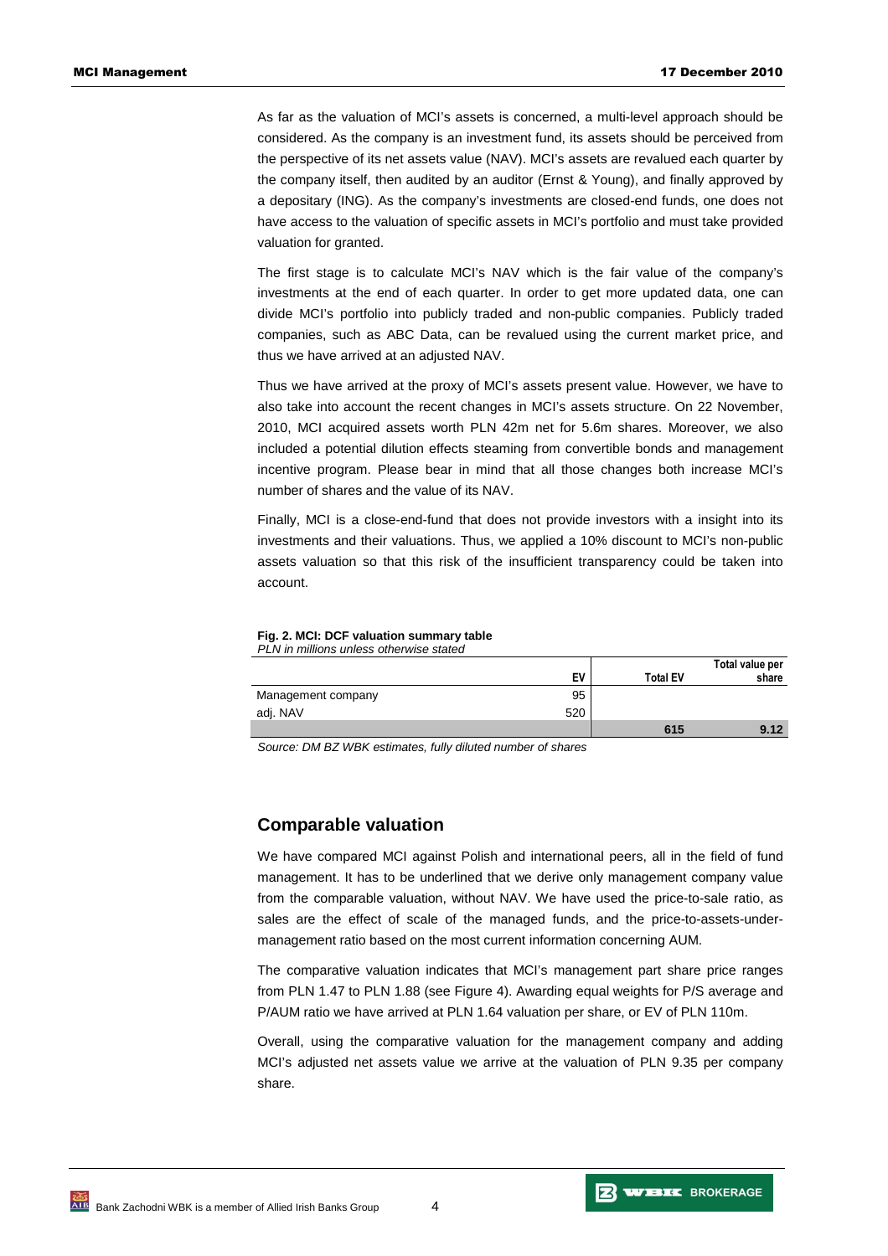As far as the valuation of MCI's assets is concerned, a multi-level approach should be considered. As the company is an investment fund, its assets should be perceived from the perspective of its net assets value (NAV). MCI's assets are revalued each quarter by the company itself, then audited by an auditor (Ernst & Young), and finally approved by a depositary (ING). As the company's investments are closed-end funds, one does not have access to the valuation of specific assets in MCI's portfolio and must take provided valuation for granted.

The first stage is to calculate MCI's NAV which is the fair value of the company's investments at the end of each quarter. In order to get more updated data, one can divide MCI's portfolio into publicly traded and non-public companies. Publicly traded companies, such as ABC Data, can be revalued using the current market price, and thus we have arrived at an adjusted NAV.

Thus we have arrived at the proxy of MCI's assets present value. However, we have to also take into account the recent changes in MCI's assets structure. On 22 November, 2010, MCI acquired assets worth PLN 42m net for 5.6m shares. Moreover, we also included a potential dilution effects steaming from convertible bonds and management incentive program. Please bear in mind that all those changes both increase MCI's number of shares and the value of its NAV.

Finally, MCI is a close-end-fund that does not provide investors with a insight into its investments and their valuations. Thus, we applied a 10% discount to MCI's non-public assets valuation so that this risk of the insufficient transparency could be taken into account.

#### **Fig. 2. MCI: DCF valuation summary table**  PLN in millions unless otherwise stated

|                    |     |                 | Total value per |
|--------------------|-----|-----------------|-----------------|
|                    | EV  | <b>Total EV</b> | share           |
| Management company | 95  |                 |                 |
| adj. NAV           | 520 |                 |                 |
|                    |     | 615             | 9.12            |

Source: DM BZ WBK estimates, fully diluted number of shares

# **Comparable valuation**

We have compared MCI against Polish and international peers, all in the field of fund management. It has to be underlined that we derive only management company value from the comparable valuation, without NAV. We have used the price-to-sale ratio, as sales are the effect of scale of the managed funds, and the price-to-assets-undermanagement ratio based on the most current information concerning AUM.

The comparative valuation indicates that MCI's management part share price ranges from PLN 1.47 to PLN 1.88 (see Figure 4). Awarding equal weights for P/S average and P/AUM ratio we have arrived at PLN 1.64 valuation per share, or EV of PLN 110m.

Overall, using the comparative valuation for the management company and adding MCI's adjusted net assets value we arrive at the valuation of PLN 9.35 per company share.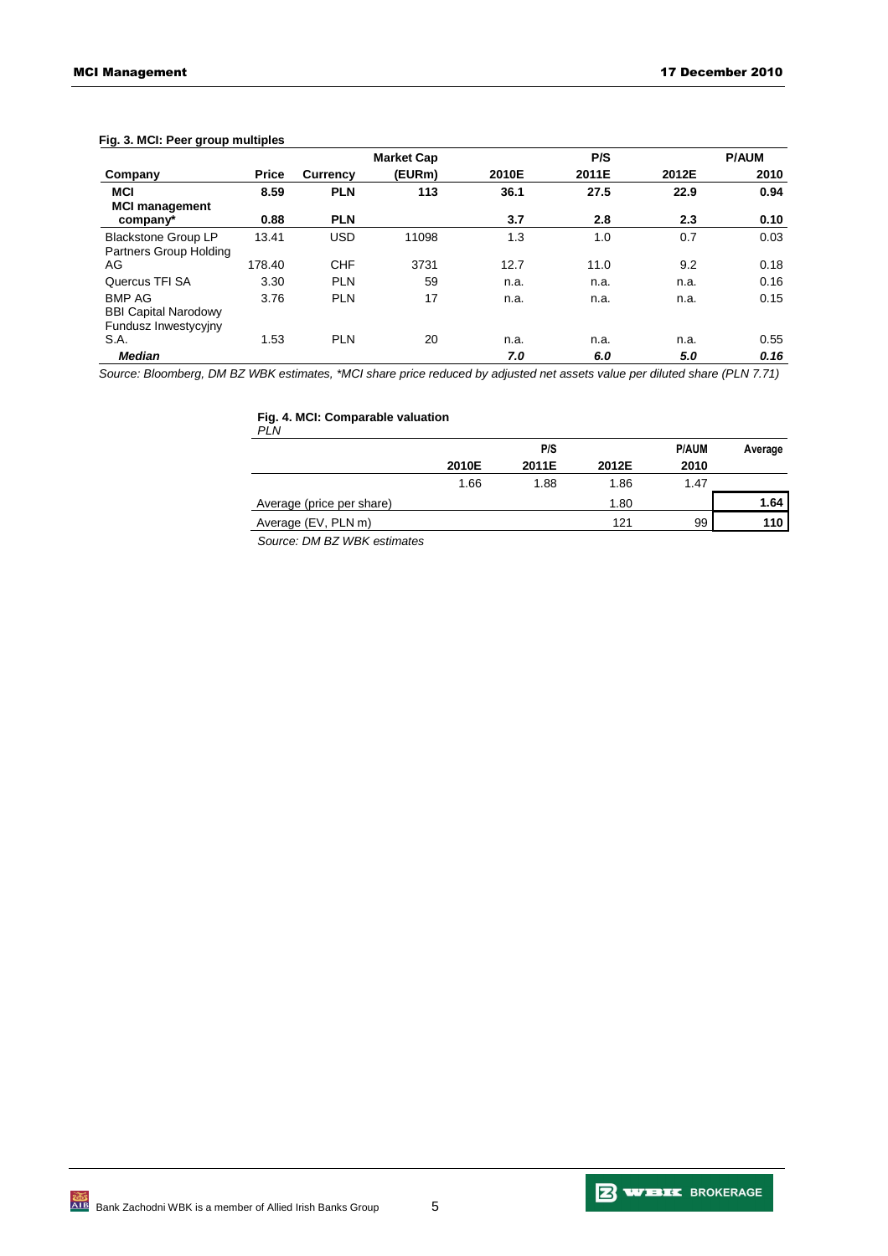### **Fig. 3. MCI: Peer group multiples**

|                                                                      |              |            | <b>Market Cap</b> |       | P/S   |       | <b>P/AUM</b> |
|----------------------------------------------------------------------|--------------|------------|-------------------|-------|-------|-------|--------------|
| Company                                                              | <b>Price</b> | Currency   | (EURm)            | 2010E | 2011E | 2012E | 2010         |
| <b>MCI</b><br><b>MCI management</b>                                  | 8.59         | <b>PLN</b> | 113               | 36.1  | 27.5  | 22.9  | 0.94         |
| company*                                                             | 0.88         | <b>PLN</b> |                   | 3.7   | 2.8   | 2.3   | 0.10         |
| <b>Blackstone Group LP</b><br>Partners Group Holding                 | 13.41        | <b>USD</b> | 11098             | 1.3   | 1.0   | 0.7   | 0.03         |
| AG                                                                   | 178.40       | <b>CHF</b> | 3731              | 12.7  | 11.0  | 9.2   | 0.18         |
| Quercus TFI SA                                                       | 3.30         | <b>PLN</b> | 59                | n.a.  | n.a.  | n.a.  | 0.16         |
| <b>BMP AG</b><br><b>BBI Capital Narodowy</b><br>Fundusz Inwestycyjny | 3.76         | <b>PLN</b> | 17                | n.a.  | n.a.  | n.a.  | 0.15         |
| S.A.                                                                 | 1.53         | <b>PLN</b> | 20                | n.a.  | n.a.  | n.a.  | 0.55         |
| <b>Median</b>                                                        |              |            |                   | 7.0   | 6.0   | 5.0   | 0.16         |

Source: Bloomberg, DM BZ WBK estimates, \*MCI share price reduced by adjusted net assets value per diluted share (PLN 7.71)

#### **Fig. 4. MCI: Comparable valuation**

| PLN                       |       |       |       |              |         |
|---------------------------|-------|-------|-------|--------------|---------|
|                           |       | P/S   |       | <b>P/AUM</b> | Average |
|                           | 2010E | 2011E | 2012E | 2010         |         |
|                           | 1.66  | 1.88  | 1.86  | 1.47         |         |
| Average (price per share) |       |       | 1.80  |              | 1.64    |
| Average (EV, PLN m)       |       |       | 121   | 99           | 110     |

Source: DM BZ WBK estimates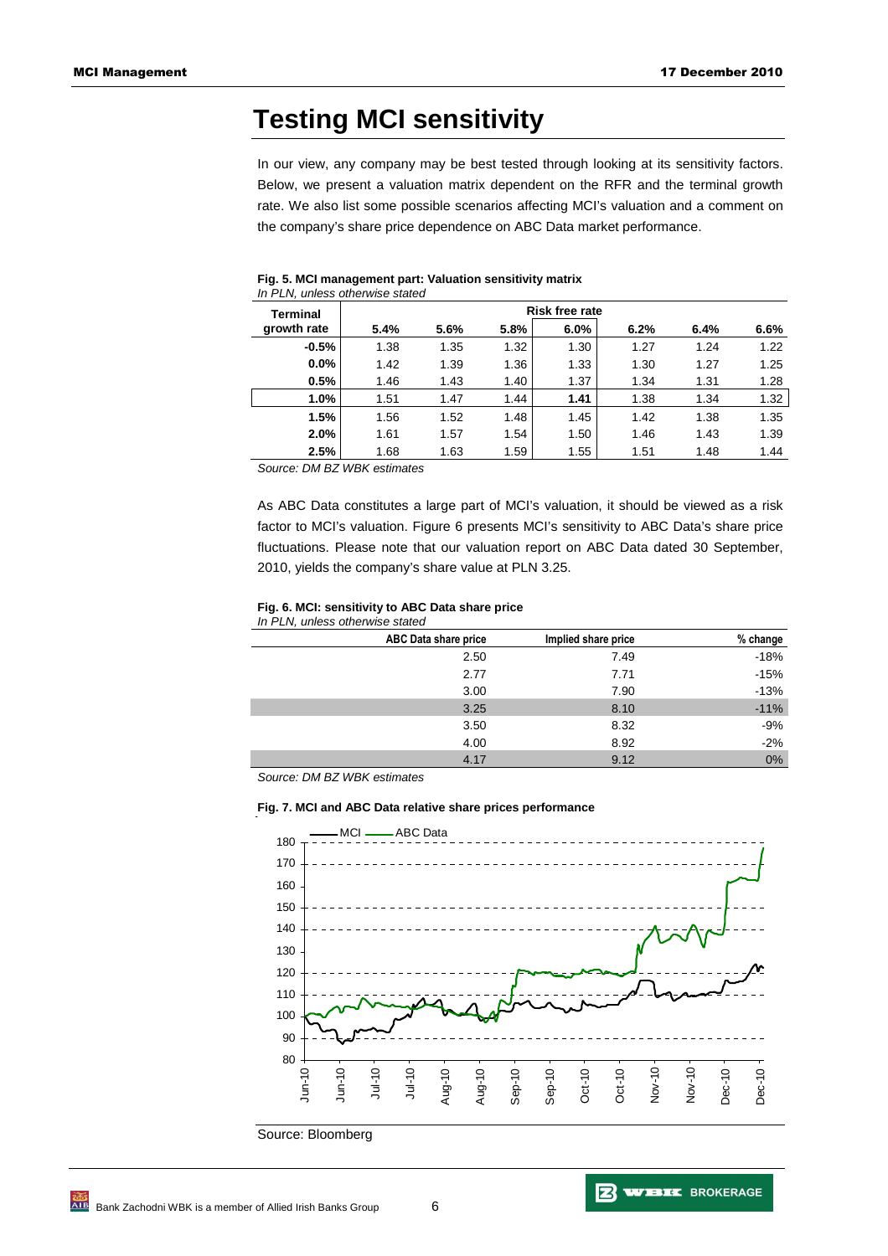# **Testing MCI sensitivity**

In our view, any company may be best tested through looking at its sensitivity factors. Below, we present a valuation matrix dependent on the RFR and the terminal growth rate. We also list some possible scenarios affecting MCI's valuation and a comment on the company's share price dependence on ABC Data market performance.

| <b>Terminal</b> | <b>Risk free rate</b> |      |      |      |      |      |      |  |
|-----------------|-----------------------|------|------|------|------|------|------|--|
| growth rate     | 5.4%                  | 5.6% | 5.8% | 6.0% | 6.2% | 6.4% | 6.6% |  |
| $-0.5%$         | 1.38                  | 1.35 | 1.32 | 1.30 | 1.27 | 1.24 | 1.22 |  |
| $0.0\%$         | 1.42                  | 1.39 | 1.36 | 1.33 | 1.30 | 1.27 | 1.25 |  |
| 0.5%            | 1.46                  | 1.43 | 1.40 | 1.37 | 1.34 | 1.31 | 1.28 |  |
| $1.0\%$         | 1.51                  | 1.47 | 1.44 | 1.41 | 1.38 | 1.34 | 1.32 |  |
| 1.5%            | 1.56                  | 1.52 | 1.48 | 1.45 | 1.42 | 1.38 | 1.35 |  |
| 2.0%            | 1.61                  | 1.57 | 1.54 | 1.50 | 1.46 | 1.43 | 1.39 |  |
| 2.5%            | 1.68                  | 1.63 | 1.59 | 1.55 | 1.51 | 1.48 | 1.44 |  |

#### **Fig. 5. MCI management part: Valuation sensitivity matrix**  In PLN, unless otherwise stated

Source: DM BZ WBK estimates

As ABC Data constitutes a large part of MCI's valuation, it should be viewed as a risk factor to MCI's valuation. Figure 6 presents MCI's sensitivity to ABC Data's share price fluctuations. Please note that our valuation report on ABC Data dated 30 September, 2010, yields the company's share value at PLN 3.25.

#### **Fig. 6. MCI: sensitivity to ABC Data share price**  In PLN, unless otherwise stated

|  | <b>ABC Data share price</b> | Implied share price | % change |  |  |  |  |
|--|-----------------------------|---------------------|----------|--|--|--|--|
|  | 2.50                        | 7.49                | $-18%$   |  |  |  |  |
|  | 2.77                        | 7.71                | $-15%$   |  |  |  |  |
|  | 3.00                        | 7.90                | $-13%$   |  |  |  |  |
|  | 3.25                        | 8.10                | $-11%$   |  |  |  |  |
|  | 3.50                        | 8.32                | $-9%$    |  |  |  |  |
|  | 4.00                        | 8.92                | $-2%$    |  |  |  |  |
|  | 4.17                        | 9.12                | $0\%$    |  |  |  |  |

Source: DM BZ WBK estimates

#### **Fig. 7. MCI and ABC Data relative share prices performance**



Source: Bloomberg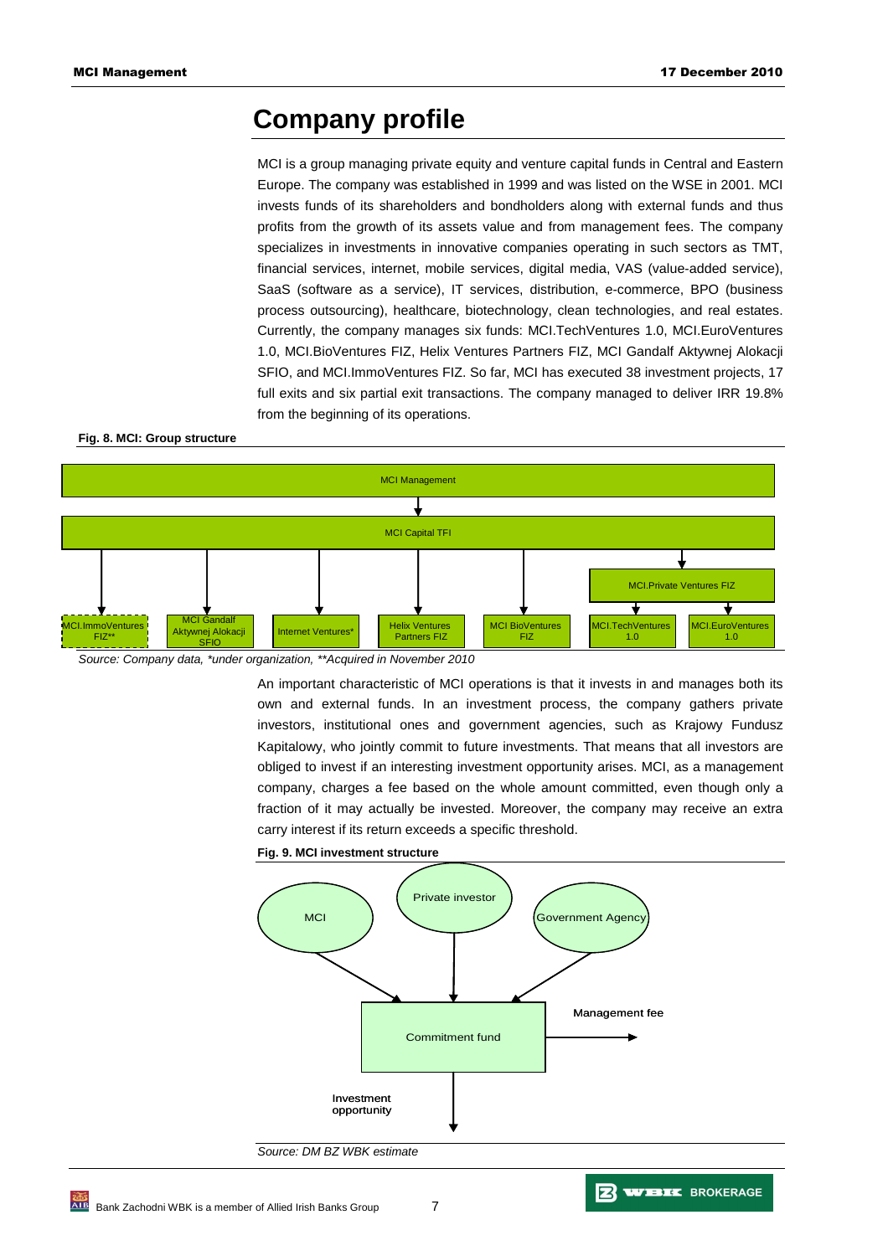# **Company profile**

MCI is a group managing private equity and venture capital funds in Central and Eastern Europe. The company was established in 1999 and was listed on the WSE in 2001. MCI invests funds of its shareholders and bondholders along with external funds and thus profits from the growth of its assets value and from management fees. The company specializes in investments in innovative companies operating in such sectors as TMT, financial services, internet, mobile services, digital media, VAS (value-added service), SaaS (software as a service), IT services, distribution, e-commerce, BPO (business process outsourcing), healthcare, biotechnology, clean technologies, and real estates. Currently, the company manages six funds: MCI.TechVentures 1.0, MCI.EuroVentures 1.0, MCI.BioVentures FIZ, Helix Ventures Partners FIZ, MCI Gandalf Aktywnej Alokacji SFIO, and MCI.ImmoVentures FIZ. So far, MCI has executed 38 investment projects, 17 full exits and six partial exit transactions. The company managed to deliver IRR 19.8% from the beginning of its operations.

**Fig. 8. MCI: Group structure** 



Source: Company data, \*under organization, \*\*Acquired in November 2010

An important characteristic of MCI operations is that it invests in and manages both its own and external funds. In an investment process, the company gathers private investors, institutional ones and government agencies, such as Krajowy Fundusz Kapitalowy, who jointly commit to future investments. That means that all investors are obliged to invest if an interesting investment opportunity arises. MCI, as a management company, charges a fee based on the whole amount committed, even though only a fraction of it may actually be invested. Moreover, the company may receive an extra carry interest if its return exceeds a specific threshold.

#### **Fig. 9. MCI investment structure**



**Z WELK** BROKERAGE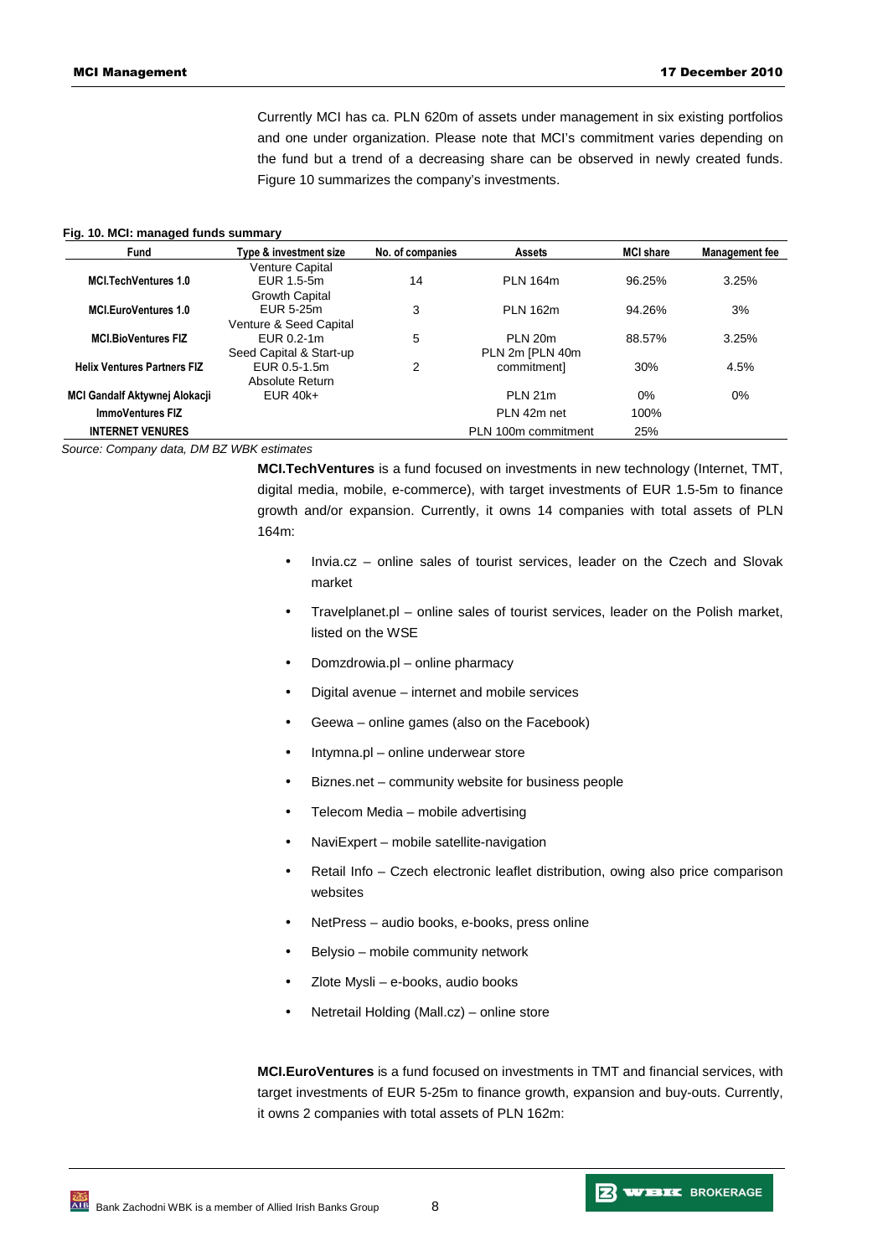Currently MCI has ca. PLN 620m of assets under management in six existing portfolios and one under organization. Please note that MCI's commitment varies depending on the fund but a trend of a decreasing share can be observed in newly created funds. Figure 10 summarizes the company's investments.

#### **Fig. 10. MCI: managed funds summary**

| Fund                                                   | Type & investment size  | No. of companies<br><b>Assets</b> |                     | <b>MCI share</b> | <b>Management fee</b> |
|--------------------------------------------------------|-------------------------|-----------------------------------|---------------------|------------------|-----------------------|
|                                                        | <b>Venture Capital</b>  |                                   |                     |                  |                       |
| <b>MCI.TechVentures 1.0</b>                            | EUR 1.5-5m              | 14                                | <b>PLN 164m</b>     | 96.25%           | 3.25%                 |
|                                                        | Growth Capital          |                                   |                     |                  |                       |
| <b>MCI.EuroVentures 1.0</b>                            | EUR 5-25m               | 3                                 | <b>PLN 162m</b>     | 94.26%           | 3%                    |
|                                                        | Venture & Seed Capital  |                                   |                     |                  |                       |
| <b>MCI.BioVentures FIZ</b>                             | EUR 0.2-1m              | 5                                 | <b>PLN 20m</b>      | 88.57%           | 3.25%                 |
|                                                        | Seed Capital & Start-up |                                   | PLN 2m [PLN 40m     |                  |                       |
| <b>Helix Ventures Partners FIZ</b>                     | EUR 0.5-1.5m            | 2                                 | commitment]         | 30%              | 4.5%                  |
|                                                        | Absolute Return         |                                   |                     |                  |                       |
| MCI Gandalf Aktywnej Alokacji                          | $EUR$ 40 $k+$           |                                   | <b>PLN 21m</b>      | $0\%$            | 0%                    |
| <b>ImmoVentures FIZ</b>                                |                         |                                   | PLN 42m net         | 100%             |                       |
| <b>INTERNET VENURES</b>                                |                         |                                   | PLN 100m commitment | 25%              |                       |
| $\sim$<br>$\sim$ $\sim$<br>$\sim$ $\sim$ $\sim$ $\sim$ |                         |                                   |                     |                  |                       |

Source: Company data, DM BZ WBK estimates

**MCI.TechVentures** is a fund focused on investments in new technology (Internet, TMT, digital media, mobile, e-commerce), with target investments of EUR 1.5-5m to finance growth and/or expansion. Currently, it owns 14 companies with total assets of PLN 164m:

- Invia.cz online sales of tourist services, leader on the Czech and Slovak market
- Travelplanet.pl online sales of tourist services, leader on the Polish market, listed on the WSE
- Domzdrowia.pl online pharmacy
- Digital avenue internet and mobile services
- Geewa online games (also on the Facebook)
- Intymna.pl online underwear store
- Biznes.net community website for business people
- Telecom Media mobile advertising
- NaviExpert mobile satellite-navigation
- Retail Info Czech electronic leaflet distribution, owing also price comparison websites
- NetPress audio books, e-books, press online
- Belysio mobile community network
- Zlote Mysli e-books, audio books
- Netretail Holding (Mall.cz) online store

**MCI.EuroVentures** is a fund focused on investments in TMT and financial services, with target investments of EUR 5-25m to finance growth, expansion and buy-outs. Currently, it owns 2 companies with total assets of PLN 162m: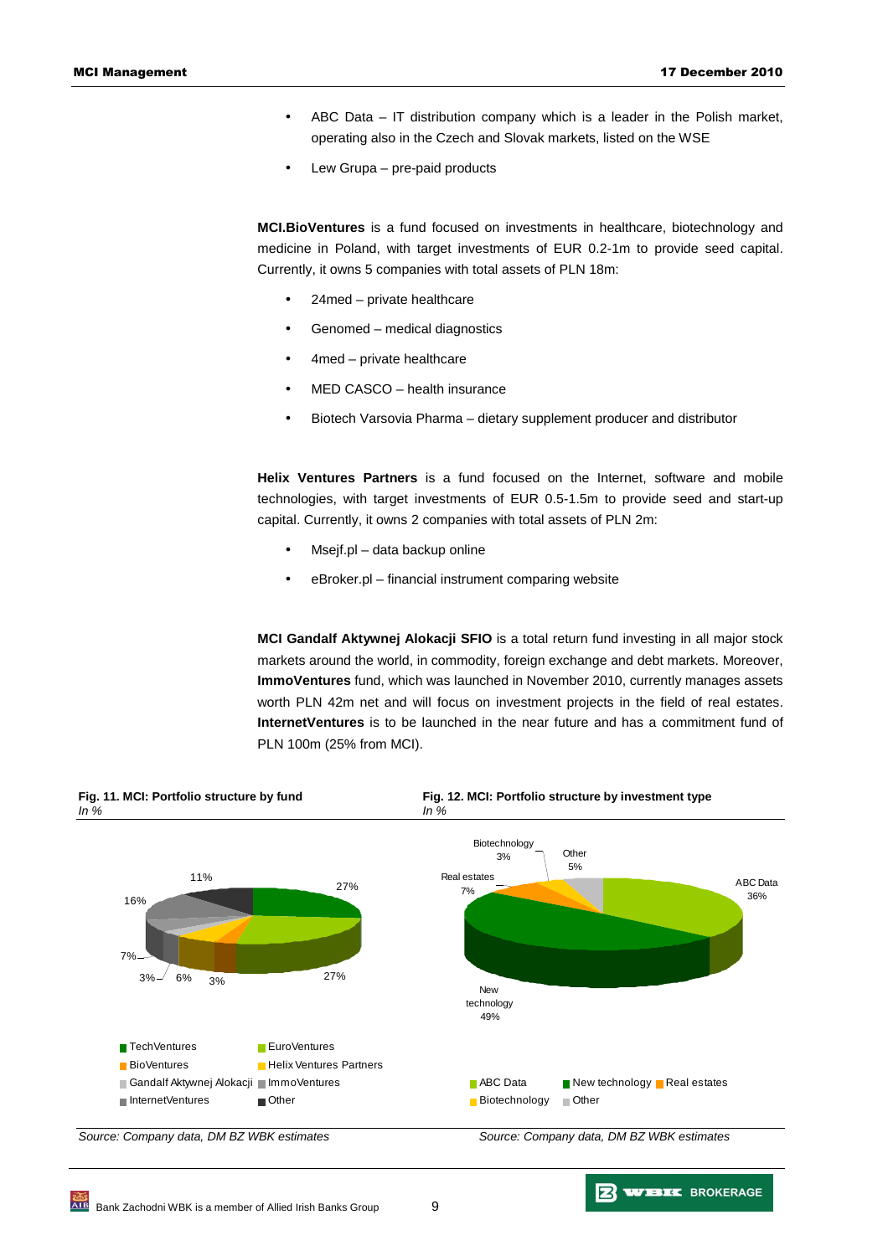- ABC Data IT distribution company which is a leader in the Polish market, operating also in the Czech and Slovak markets, listed on the WSE
- Lew Grupa pre-paid products

**MCI.BioVentures** is a fund focused on investments in healthcare, biotechnology and medicine in Poland, with target investments of EUR 0.2-1m to provide seed capital. Currently, it owns 5 companies with total assets of PLN 18m:

- 24med private healthcare
- Genomed medical diagnostics
- 4med private healthcare
- MED CASCO health insurance
- Biotech Varsovia Pharma dietary supplement producer and distributor

**Helix Ventures Partners** is a fund focused on the Internet, software and mobile technologies, with target investments of EUR 0.5-1.5m to provide seed and start-up capital. Currently, it owns 2 companies with total assets of PLN 2m:

- Msejf.pl data backup online
- eBroker.pl financial instrument comparing website

**MCI Gandalf Aktywnej Alokacji SFIO** is a total return fund investing in all major stock markets around the world, in commodity, foreign exchange and debt markets. Moreover, **ImmoVentures** fund, which was launched in November 2010, currently manages assets worth PLN 42m net and will focus on investment projects in the field of real estates. **InternetVentures** is to be launched in the near future and has a commitment fund of PLN 100m (25% from MCI).

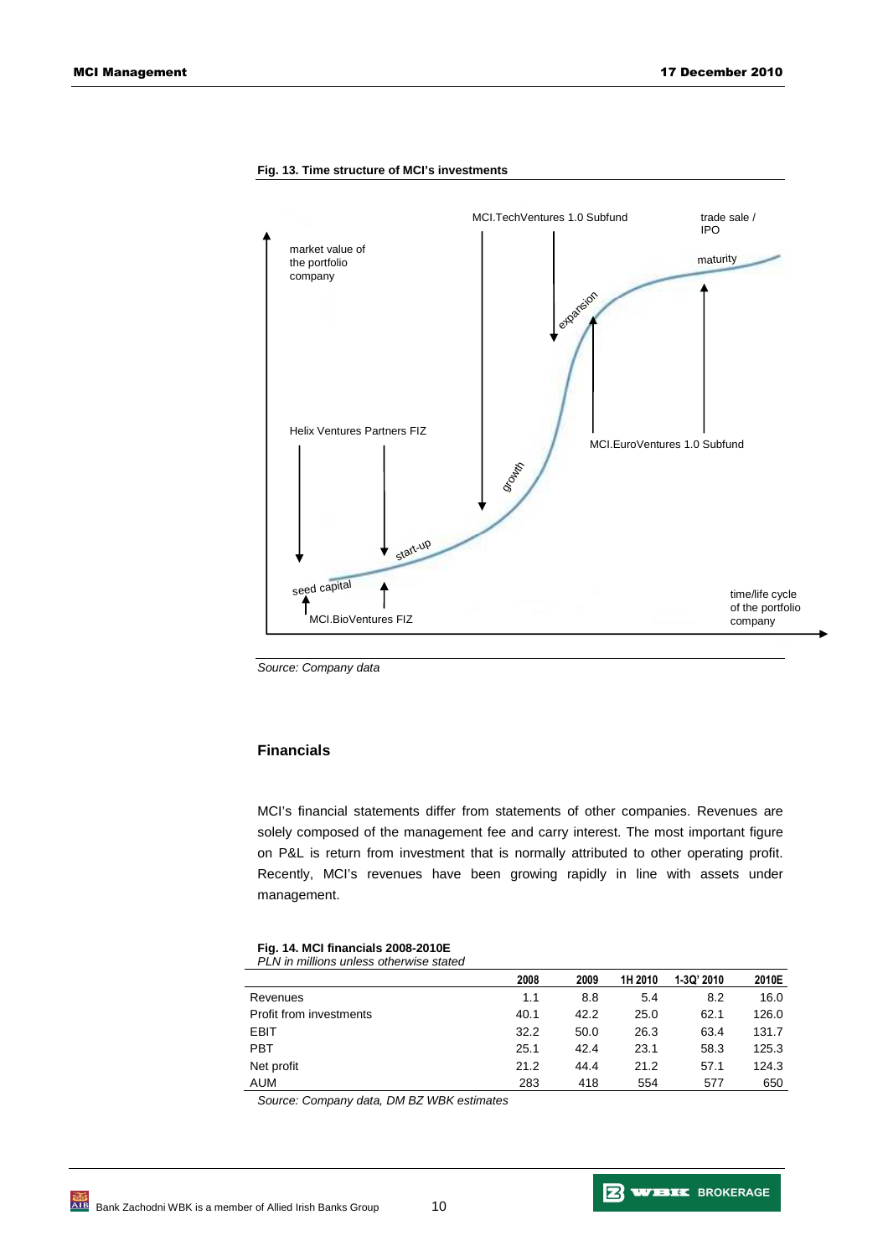

### **Fig. 13. Time structure of MCI's investments**

Source: Company data

# **Financials**

MCI's financial statements differ from statements of other companies. Revenues are solely composed of the management fee and carry interest. The most important figure on P&L is return from investment that is normally attributed to other operating profit. Recently, MCI's revenues have been growing rapidly in line with assets under management.

### **Fig. 14. MCI financials 2008-2010E**

PLN in millions unless otherwise stated

|                         | 2008 | 2009 | 1H 2010 | 1-3Q' 2010 | 2010E |
|-------------------------|------|------|---------|------------|-------|
| Revenues                | 1.1  | 8.8  | 5.4     | 8.2        | 16.0  |
| Profit from investments | 40.1 | 42.2 | 25.0    | 62.1       | 126.0 |
| EBIT                    | 32.2 | 50.0 | 26.3    | 63.4       | 131.7 |
| PBT                     | 25.1 | 42.4 | 23.1    | 58.3       | 125.3 |
| Net profit              | 21.2 | 44.4 | 21.2    | 57.1       | 124.3 |
| AUM                     | 283  | 418  | 554     | 577        | 650   |

Source: Company data, DM BZ WBK estimates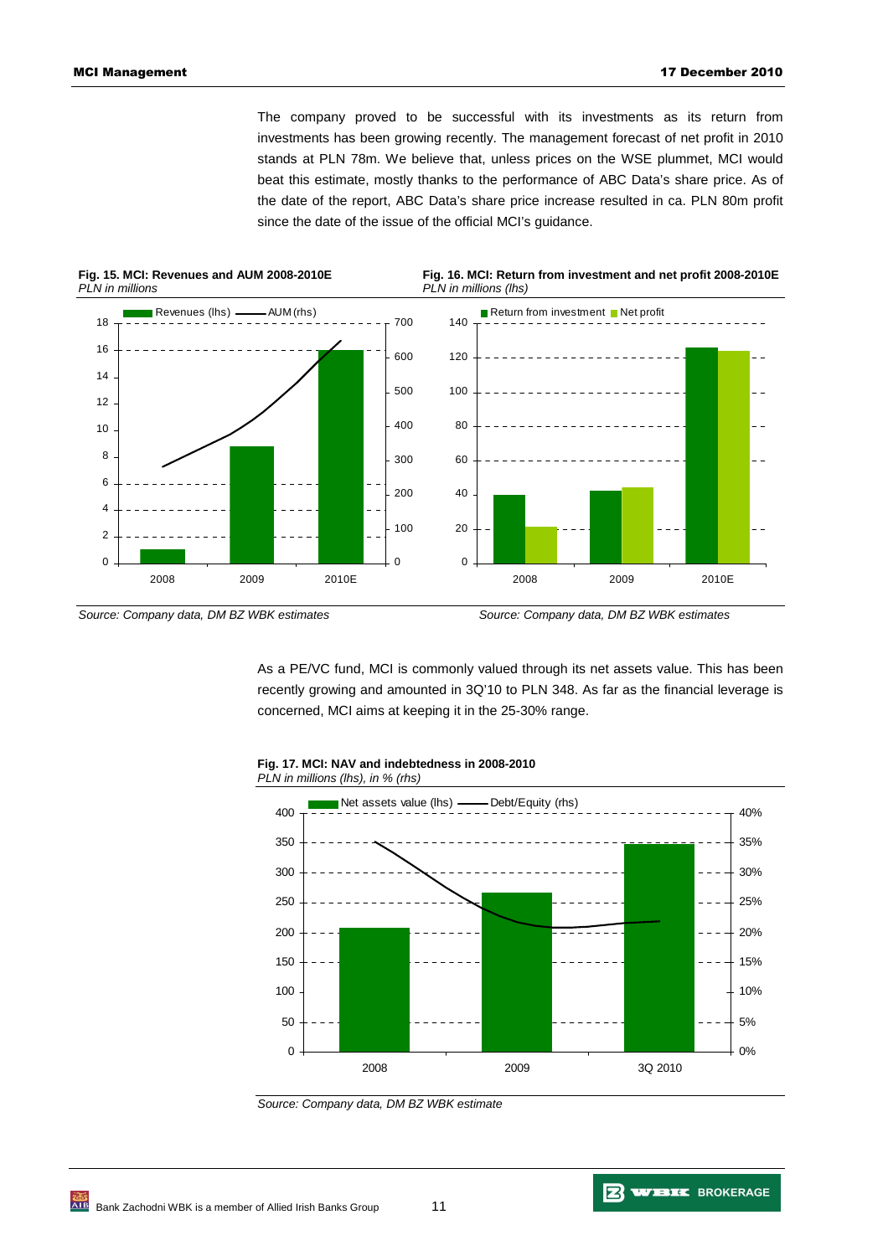The company proved to be successful with its investments as its return from investments has been growing recently. The management forecast of net profit in 2010 stands at PLN 78m. We believe that, unless prices on the WSE plummet, MCI would beat this estimate, mostly thanks to the performance of ABC Data's share price. As of the date of the report, ABC Data's share price increase resulted in ca. PLN 80m profit since the date of the issue of the official MCI's guidance.







As a PE/VC fund, MCI is commonly valued through its net assets value. This has been recently growing and amounted in 3Q'10 to PLN 348. As far as the financial leverage is concerned, MCI aims at keeping it in the 25-30% range.





Source: Company data, DM BZ WBK estimate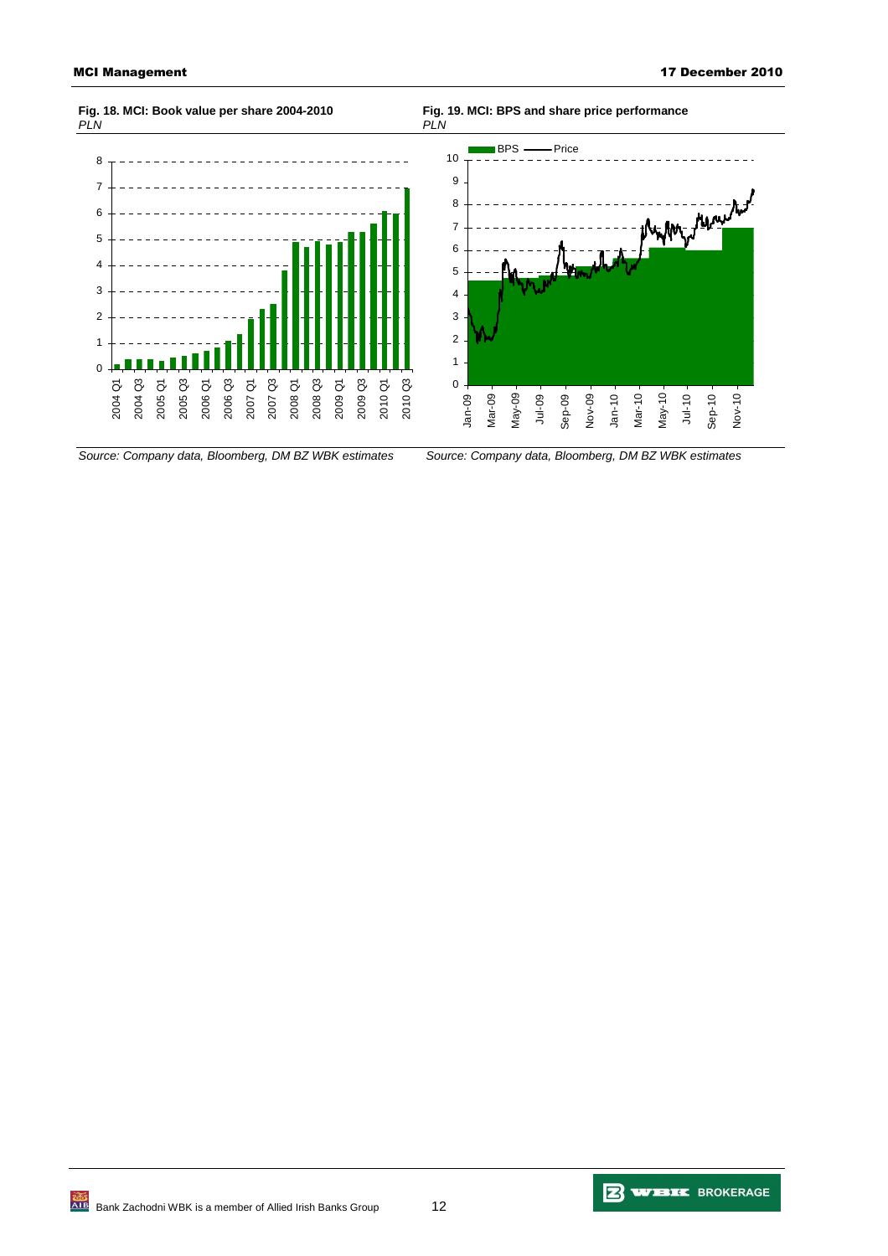

**2 WEIK BROKERAGE**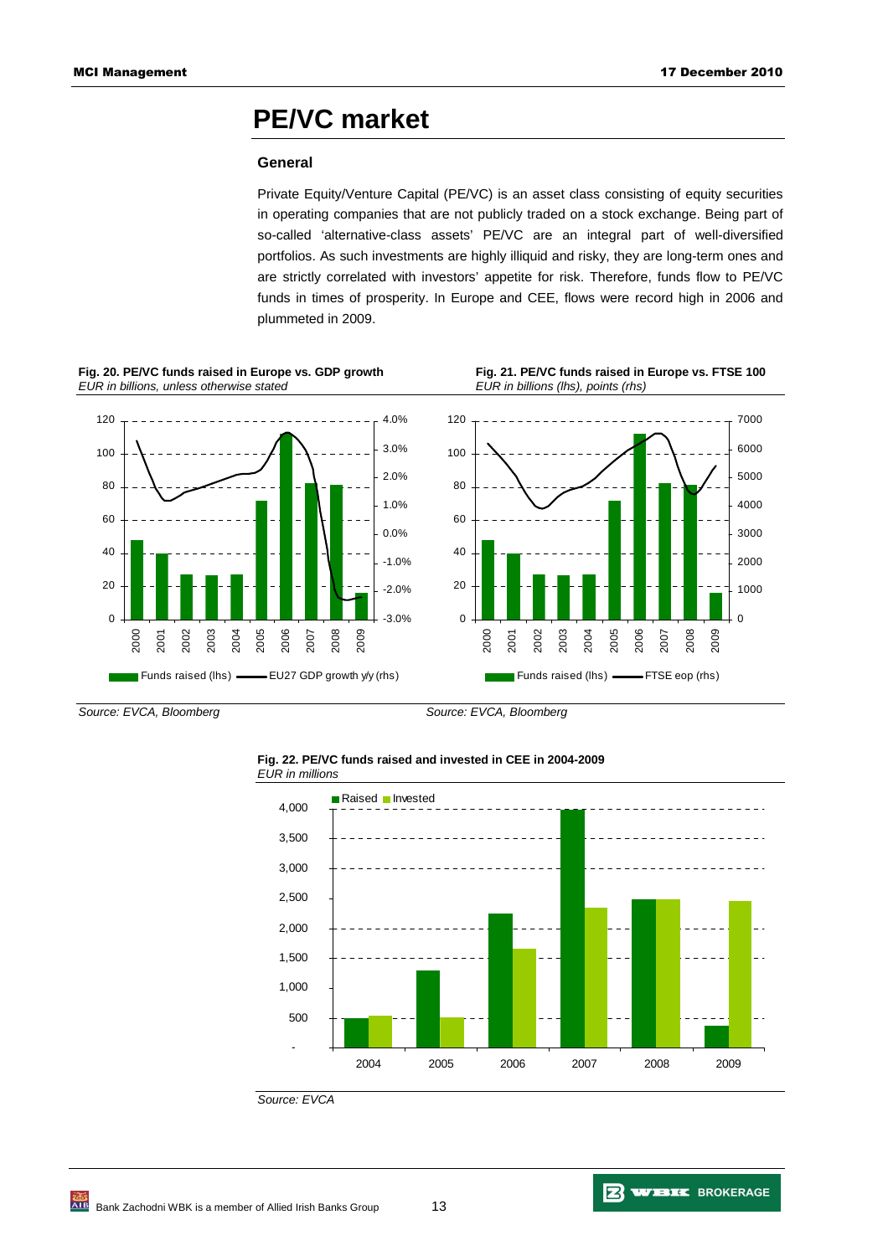# **PE/VC market**

### **General**

Private Equity/Venture Capital (PE/VC) is an asset class consisting of equity securities in operating companies that are not publicly traded on a stock exchange. Being part of so-called 'alternative-class assets' PE/VC are an integral part of well-diversified portfolios. As such investments are highly illiquid and risky, they are long-term ones and are strictly correlated with investors' appetite for risk. Therefore, funds flow to PE/VC funds in times of prosperity. In Europe and CEE, flows were record high in 2006 and plummeted in 2009.



Funds raised (lhs) - EU27 GDP growth y/y (rhs)







2000 2001 2002 2003 2004 2005 2006 2007

 $\overline{0}$ 

20

40

60

80

100

120







Source: EVCA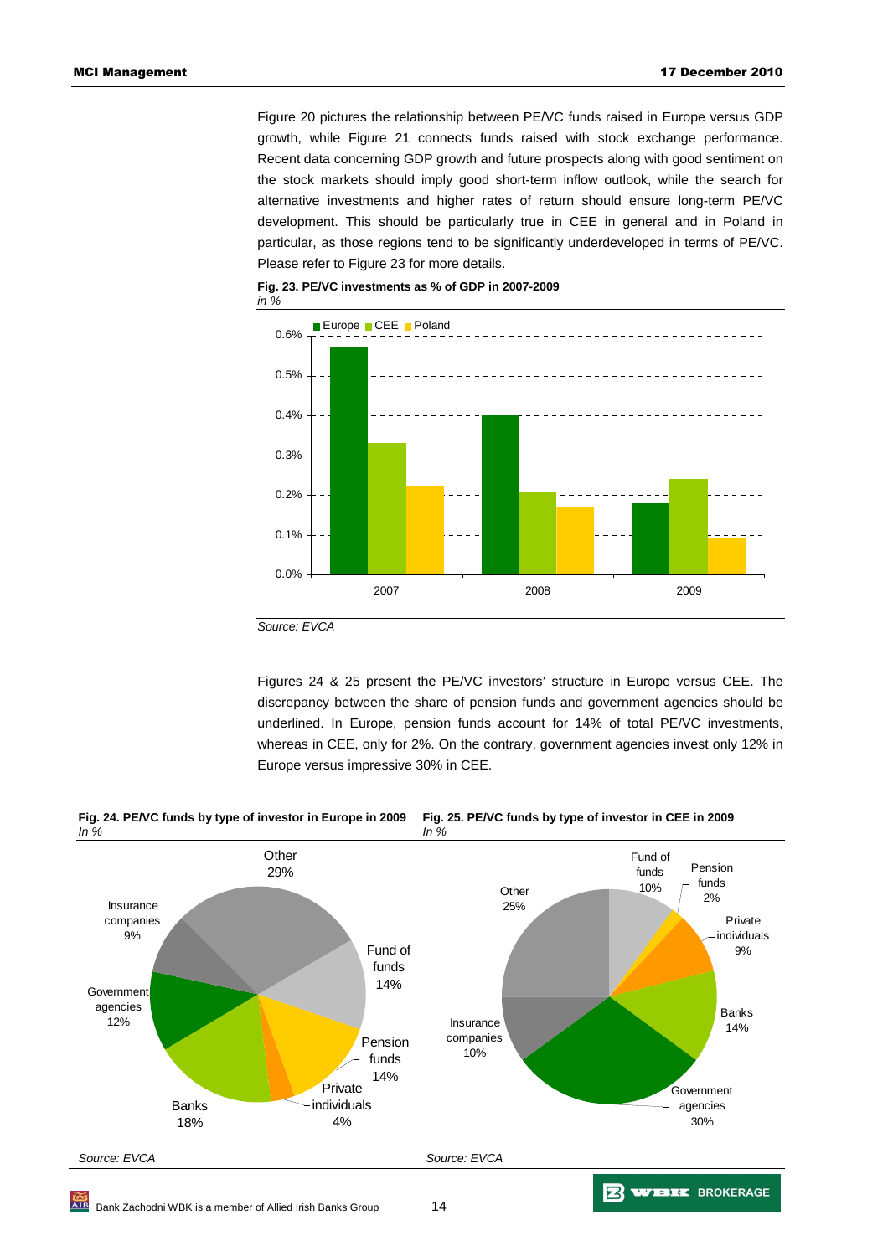Figure 20 pictures the relationship between PE/VC funds raised in Europe versus GDP growth, while Figure 21 connects funds raised with stock exchange performance. Recent data concerning GDP growth and future prospects along with good sentiment on the stock markets should imply good short-term inflow outlook, while the search for alternative investments and higher rates of return should ensure long-term PE/VC development. This should be particularly true in CEE in general and in Poland in particular, as those regions tend to be significantly underdeveloped in terms of PE/VC. Please refer to Figure 23 for more details.





Figures 24 & 25 present the PE/VC investors' structure in Europe versus CEE. The discrepancy between the share of pension funds and government agencies should be underlined. In Europe, pension funds account for 14% of total PE/VC investments, whereas in CEE, only for 2%. On the contrary, government agencies invest only 12% in Europe versus impressive 30% in CEE.



Source: EVCA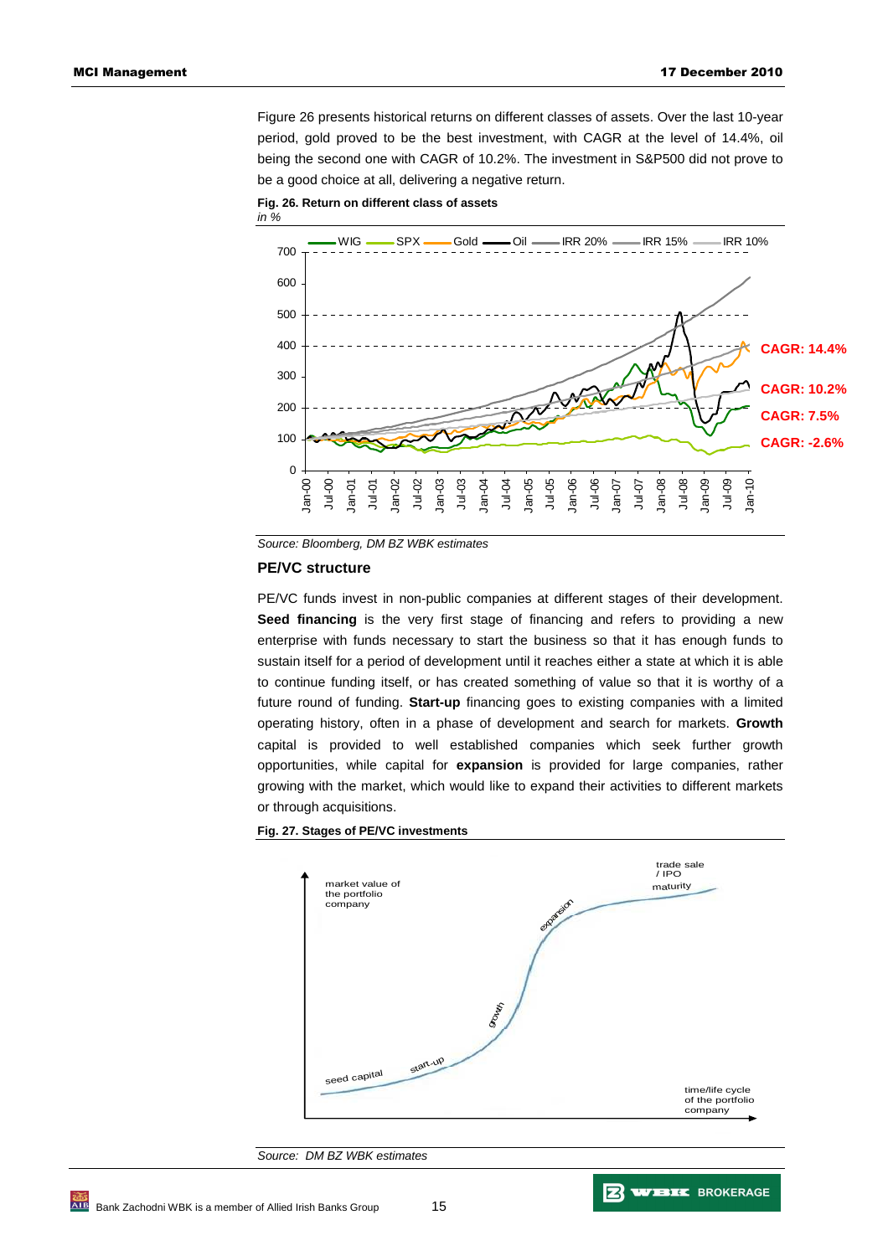Figure 26 presents historical returns on different classes of assets. Over the last 10-year period, gold proved to be the best investment, with CAGR at the level of 14.4%, oil being the second one with CAGR of 10.2%. The investment in S&P500 did not prove to be a good choice at all, delivering a negative return.



in %



Source: Bloomberg, DM BZ WBK estimates

### **PE/VC structure**

PE/VC funds invest in non-public companies at different stages of their development. **Seed financing** is the very first stage of financing and refers to providing a new enterprise with funds necessary to start the business so that it has enough funds to sustain itself for a period of development until it reaches either a state at which it is able to continue funding itself, or has created something of value so that it is worthy of a future round of funding. **Start-up** financing goes to existing companies with a limited operating history, often in a phase of development and search for markets. **Growth** capital is provided to well established companies which seek further growth opportunities, while capital for **expansion** is provided for large companies, rather growing with the market, which would like to expand their activities to different markets or through acquisitions.

### **Fig. 27. Stages of PE/VC investments**



**Z WEIK** BROKERAGE

Source: DM BZ WBK estimates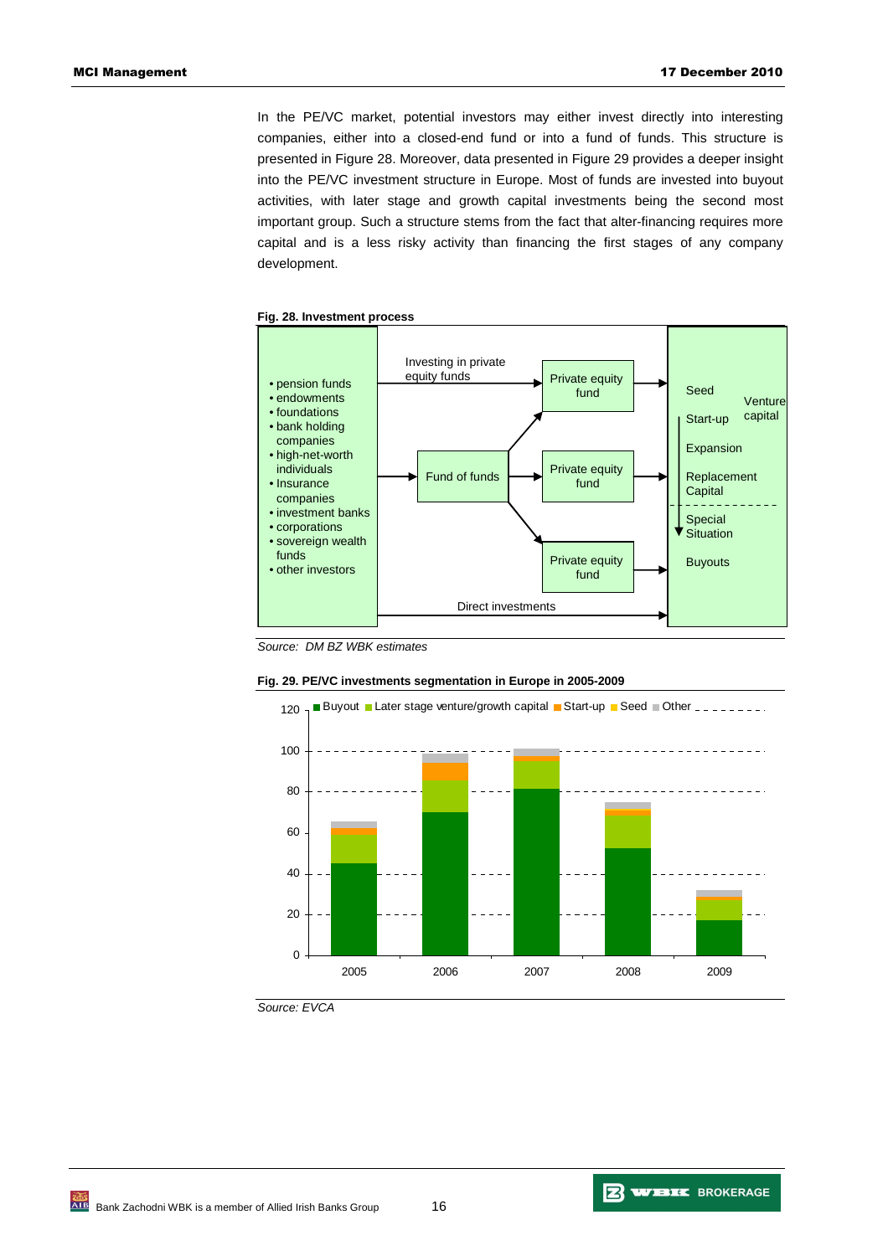In the PE/VC market, potential investors may either invest directly into interesting companies, either into a closed-end fund or into a fund of funds. This structure is presented in Figure 28. Moreover, data presented in Figure 29 provides a deeper insight into the PE/VC investment structure in Europe. Most of funds are invested into buyout activities, with later stage and growth capital investments being the second most important group. Such a structure stems from the fact that alter-financing requires more capital and is a less risky activity than financing the first stages of any company development.

#### **Fig. 28. Investment process**



Source: DM BZ WBK estimates

#### **Fig. 29. PE/VC investments segmentation in Europe in 2005-2009**



Source: EVCA

**ALB** Bank Zachodni WBK is a member of Allied Irish Banks Group 16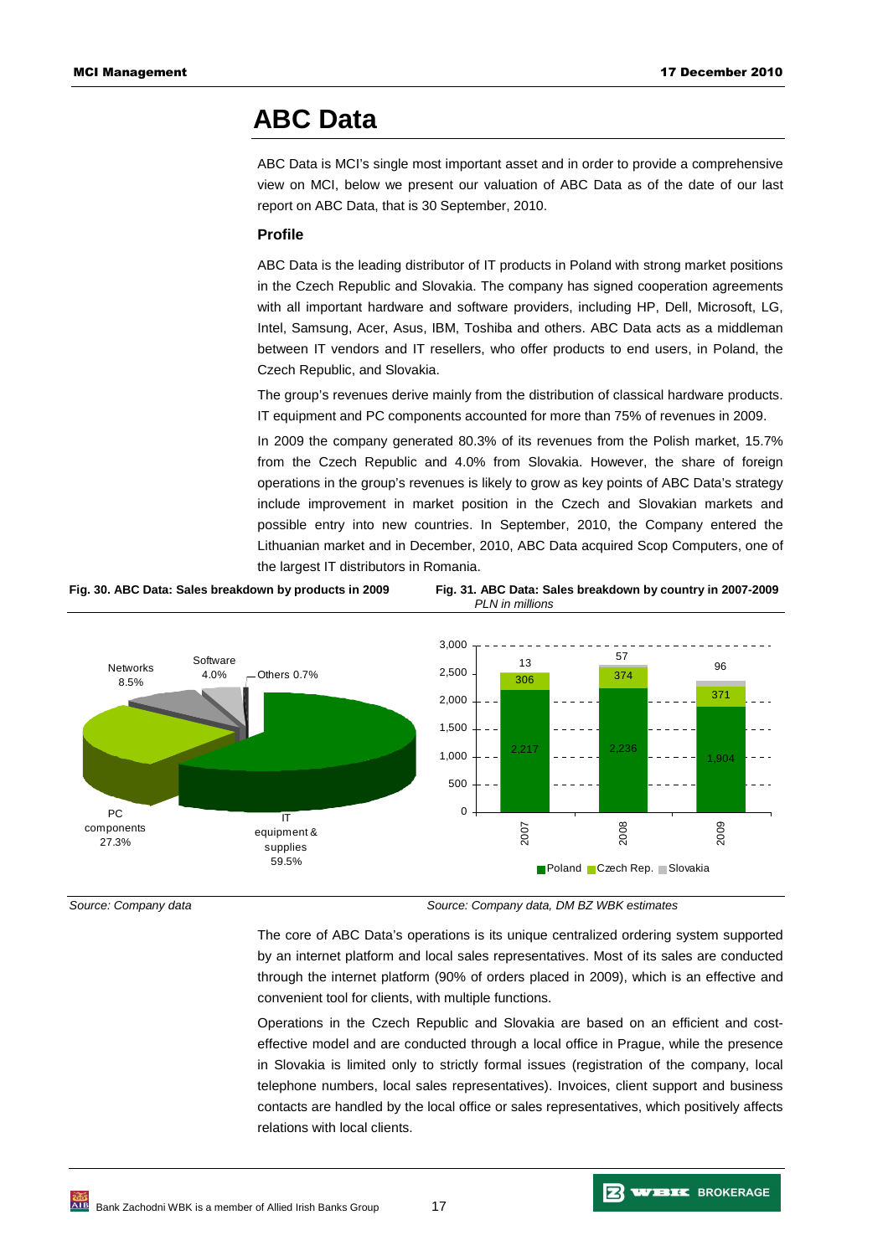# **ABC Data**

ABC Data is MCI's single most important asset and in order to provide a comprehensive view on MCI, below we present our valuation of ABC Data as of the date of our last report on ABC Data, that is 30 September, 2010.

### **Profile**

ABC Data is the leading distributor of IT products in Poland with strong market positions in the Czech Republic and Slovakia. The company has signed cooperation agreements with all important hardware and software providers, including HP, Dell, Microsoft, LG, Intel, Samsung, Acer, Asus, IBM, Toshiba and others. ABC Data acts as a middleman between IT vendors and IT resellers, who offer products to end users, in Poland, the Czech Republic, and Slovakia.

The group's revenues derive mainly from the distribution of classical hardware products. IT equipment and PC components accounted for more than 75% of revenues in 2009.

In 2009 the company generated 80.3% of its revenues from the Polish market, 15.7% from the Czech Republic and 4.0% from Slovakia. However, the share of foreign operations in the group's revenues is likely to grow as key points of ABC Data's strategy include improvement in market position in the Czech and Slovakian markets and possible entry into new countries. In September, 2010, the Company entered the Lithuanian market and in December, 2010, ABC Data acquired Scop Computers, one of the largest IT distributors in Romania.







Source: Company data Source: Company data, DM BZ WBK estimates

The core of ABC Data's operations is its unique centralized ordering system supported by an internet platform and local sales representatives. Most of its sales are conducted through the internet platform (90% of orders placed in 2009), which is an effective and convenient tool for clients, with multiple functions.

Operations in the Czech Republic and Slovakia are based on an efficient and costeffective model and are conducted through a local office in Prague, while the presence in Slovakia is limited only to strictly formal issues (registration of the company, local telephone numbers, local sales representatives). Invoices, client support and business contacts are handled by the local office or sales representatives, which positively affects relations with local clients.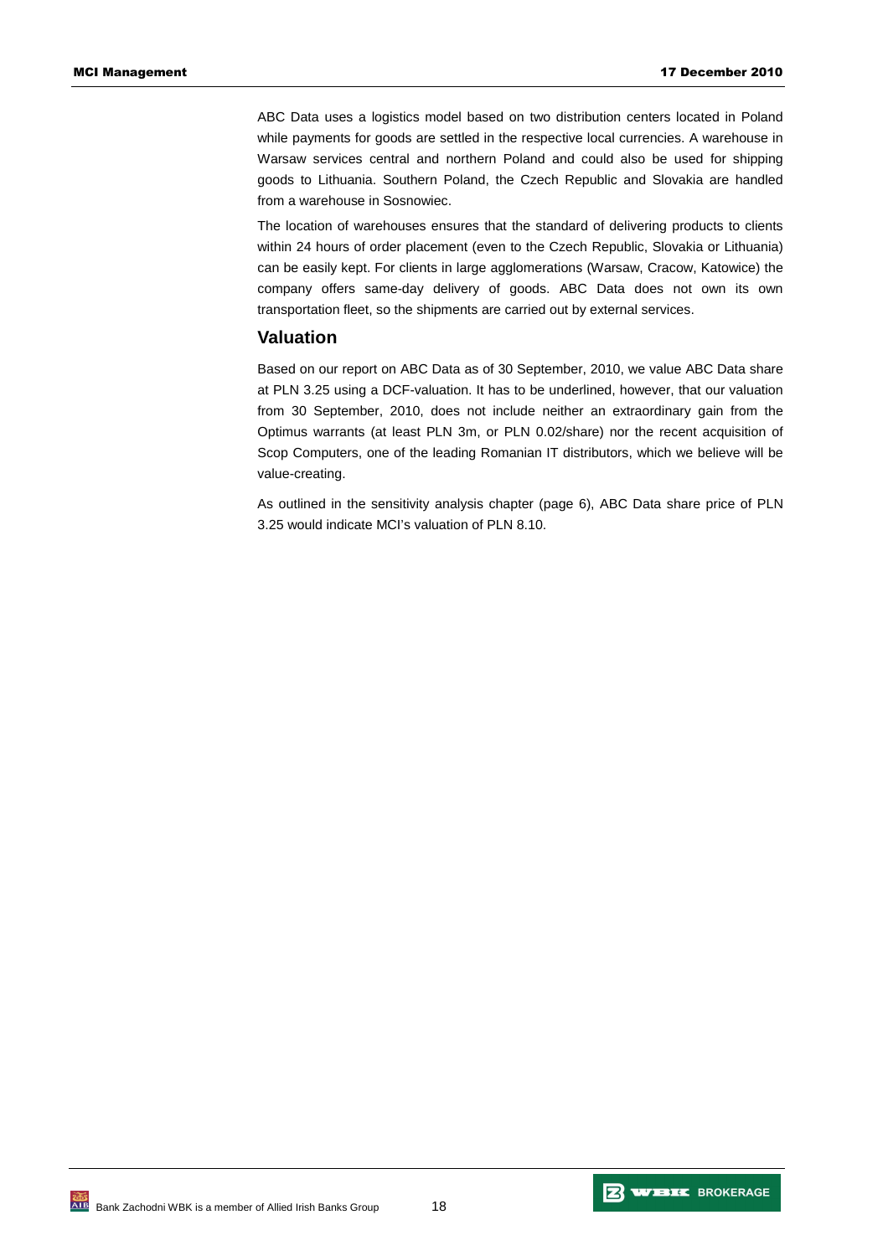ABC Data uses a logistics model based on two distribution centers located in Poland while payments for goods are settled in the respective local currencies. A warehouse in Warsaw services central and northern Poland and could also be used for shipping goods to Lithuania. Southern Poland, the Czech Republic and Slovakia are handled from a warehouse in Sosnowiec.

The location of warehouses ensures that the standard of delivering products to clients within 24 hours of order placement (even to the Czech Republic, Slovakia or Lithuania) can be easily kept. For clients in large agglomerations (Warsaw, Cracow, Katowice) the company offers same-day delivery of goods. ABC Data does not own its own transportation fleet, so the shipments are carried out by external services.

# **Valuation**

Based on our report on ABC Data as of 30 September, 2010, we value ABC Data share at PLN 3.25 using a DCF-valuation. It has to be underlined, however, that our valuation from 30 September, 2010, does not include neither an extraordinary gain from the Optimus warrants (at least PLN 3m, or PLN 0.02/share) nor the recent acquisition of Scop Computers, one of the leading Romanian IT distributors, which we believe will be value-creating.

As outlined in the sensitivity analysis chapter (page 6), ABC Data share price of PLN 3.25 would indicate MCI's valuation of PLN 8.10.

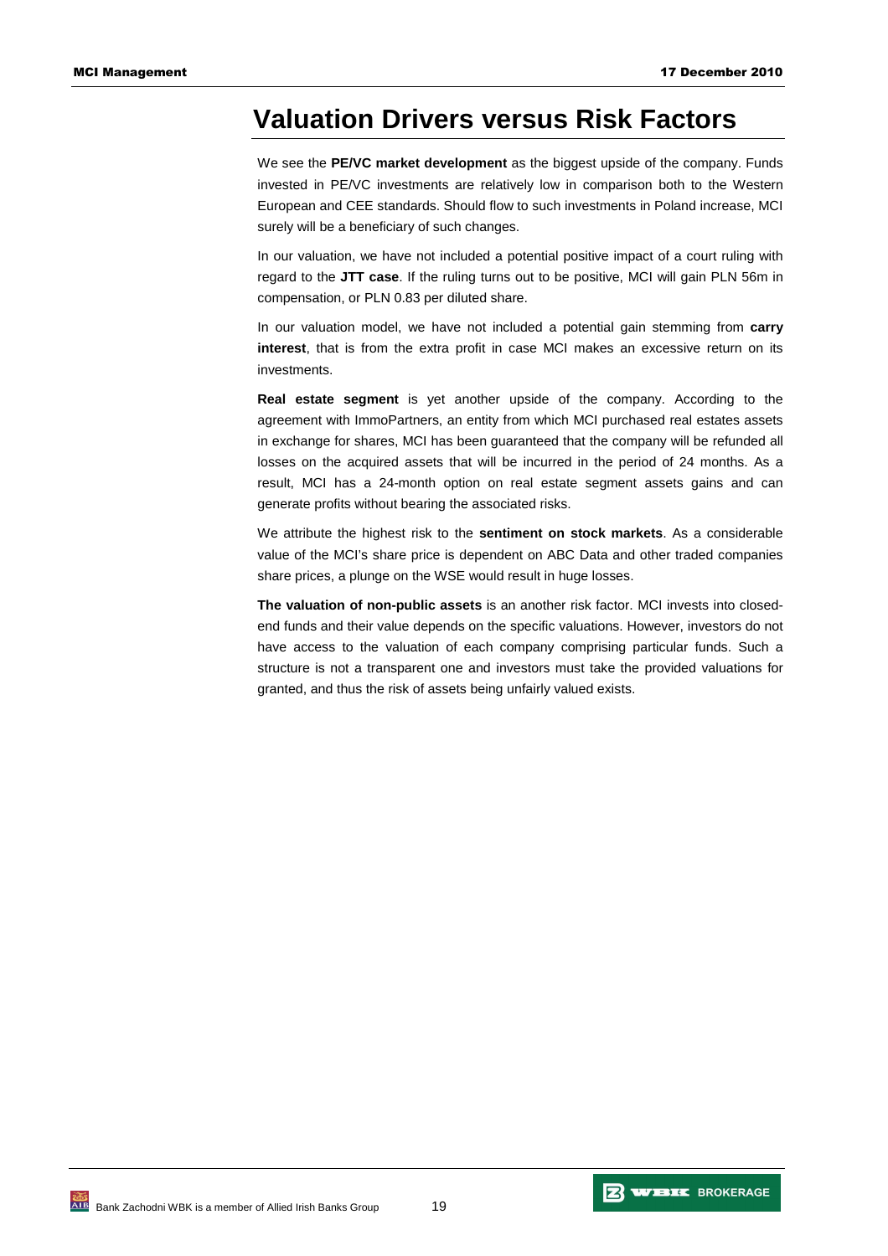# **Valuation Drivers versus Risk Factors**

We see the **PE/VC market development** as the biggest upside of the company. Funds invested in PE/VC investments are relatively low in comparison both to the Western European and CEE standards. Should flow to such investments in Poland increase, MCI surely will be a beneficiary of such changes.

In our valuation, we have not included a potential positive impact of a court ruling with regard to the **JTT case**. If the ruling turns out to be positive, MCI will gain PLN 56m in compensation, or PLN 0.83 per diluted share.

In our valuation model, we have not included a potential gain stemming from **carry interest**, that is from the extra profit in case MCI makes an excessive return on its investments.

**Real estate segment** is yet another upside of the company. According to the agreement with ImmoPartners, an entity from which MCI purchased real estates assets in exchange for shares, MCI has been guaranteed that the company will be refunded all losses on the acquired assets that will be incurred in the period of 24 months. As a result, MCI has a 24-month option on real estate segment assets gains and can generate profits without bearing the associated risks.

We attribute the highest risk to the **sentiment on stock markets**. As a considerable value of the MCI's share price is dependent on ABC Data and other traded companies share prices, a plunge on the WSE would result in huge losses.

**The valuation of non-public assets** is an another risk factor. MCI invests into closedend funds and their value depends on the specific valuations. However, investors do not have access to the valuation of each company comprising particular funds. Such a structure is not a transparent one and investors must take the provided valuations for granted, and thus the risk of assets being unfairly valued exists.

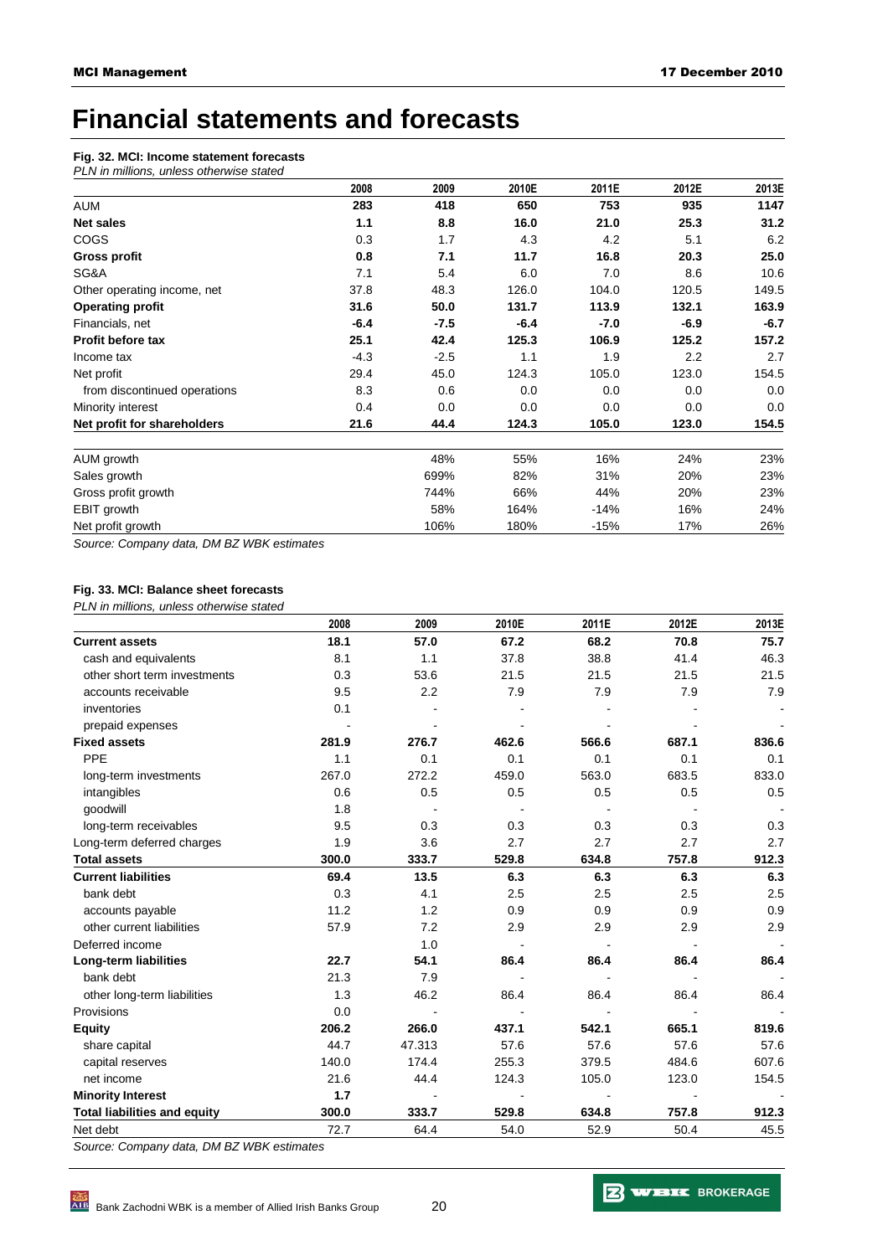# **Financial statements and forecasts**

# **Fig. 32. MCI: Income statement forecasts**

| PLN in millions, unless otherwise stated |        |        |        |        |        |        |
|------------------------------------------|--------|--------|--------|--------|--------|--------|
|                                          | 2008   | 2009   | 2010E  | 2011E  | 2012E  | 2013E  |
| <b>AUM</b>                               | 283    | 418    | 650    | 753    | 935    | 1147   |
| <b>Net sales</b>                         | 1.1    | 8.8    | 16.0   | 21.0   | 25.3   | 31.2   |
| COGS                                     | 0.3    | 1.7    | 4.3    | 4.2    | 5.1    | 6.2    |
| <b>Gross profit</b>                      | 0.8    | 7.1    | 11.7   | 16.8   | 20.3   | 25.0   |
| SG&A                                     | 7.1    | 5.4    | 6.0    | 7.0    | 8.6    | 10.6   |
| Other operating income, net              | 37.8   | 48.3   | 126.0  | 104.0  | 120.5  | 149.5  |
| <b>Operating profit</b>                  | 31.6   | 50.0   | 131.7  | 113.9  | 132.1  | 163.9  |
| Financials, net                          | $-6.4$ | -7.5   | $-6.4$ | $-7.0$ | $-6.9$ | $-6.7$ |
| Profit before tax                        | 25.1   | 42.4   | 125.3  | 106.9  | 125.2  | 157.2  |
| Income tax                               | $-4.3$ | $-2.5$ | 1.1    | 1.9    | 2.2    | 2.7    |
| Net profit                               | 29.4   | 45.0   | 124.3  | 105.0  | 123.0  | 154.5  |
| from discontinued operations             | 8.3    | 0.6    | 0.0    | 0.0    | 0.0    | 0.0    |
| Minority interest                        | 0.4    | 0.0    | 0.0    | 0.0    | 0.0    | 0.0    |
| Net profit for shareholders              | 21.6   | 44.4   | 124.3  | 105.0  | 123.0  | 154.5  |
| AUM growth                               |        | 48%    | 55%    | 16%    | 24%    | 23%    |
| Sales growth                             |        | 699%   | 82%    | 31%    | 20%    | 23%    |
| Gross profit growth                      |        | 744%   | 66%    | 44%    | 20%    | 23%    |
| EBIT growth                              |        | 58%    | 164%   | $-14%$ | 16%    | 24%    |
| Net profit growth                        |        | 106%   | 180%   | $-15%$ | 17%    | 26%    |

Source: Company data, DM BZ WBK estimates

### **Fig. 33. MCI: Balance sheet forecasts**

PLN in millions, unless otherwise stated

|                                     | 2008  | 2009   | 2010E | 2011E | 2012E | 2013E |
|-------------------------------------|-------|--------|-------|-------|-------|-------|
| <b>Current assets</b>               | 18.1  | 57.0   | 67.2  | 68.2  | 70.8  | 75.7  |
| cash and equivalents                | 8.1   | 1.1    | 37.8  | 38.8  | 41.4  | 46.3  |
| other short term investments        | 0.3   | 53.6   | 21.5  | 21.5  | 21.5  | 21.5  |
| accounts receivable                 | 9.5   | 2.2    | 7.9   | 7.9   | 7.9   | 7.9   |
| inventories                         | 0.1   |        |       |       |       |       |
| prepaid expenses                    |       |        |       |       |       |       |
| <b>Fixed assets</b>                 | 281.9 | 276.7  | 462.6 | 566.6 | 687.1 | 836.6 |
| PPE                                 | 1.1   | 0.1    | 0.1   | 0.1   | 0.1   | 0.1   |
| long-term investments               | 267.0 | 272.2  | 459.0 | 563.0 | 683.5 | 833.0 |
| intangibles                         | 0.6   | 0.5    | 0.5   | 0.5   | 0.5   | 0.5   |
| qoodwill                            | 1.8   |        |       |       |       |       |
| long-term receivables               | 9.5   | 0.3    | 0.3   | 0.3   | 0.3   | 0.3   |
| Long-term deferred charges          | 1.9   | 3.6    | 2.7   | 2.7   | 2.7   | 2.7   |
| <b>Total assets</b>                 | 300.0 | 333.7  | 529.8 | 634.8 | 757.8 | 912.3 |
| <b>Current liabilities</b>          | 69.4  | 13.5   | 6.3   | 6.3   | 6.3   | 6.3   |
| bank debt                           | 0.3   | 4.1    | 2.5   | 2.5   | 2.5   | 2.5   |
| accounts payable                    | 11.2  | 1.2    | 0.9   | 0.9   | 0.9   | 0.9   |
| other current liabilities           | 57.9  | 7.2    | 2.9   | 2.9   | 2.9   | 2.9   |
| Deferred income                     |       | 1.0    |       |       |       |       |
| Long-term liabilities               | 22.7  | 54.1   | 86.4  | 86.4  | 86.4  | 86.4  |
| bank debt                           | 21.3  | 7.9    |       |       |       |       |
| other long-term liabilities         | 1.3   | 46.2   | 86.4  | 86.4  | 86.4  | 86.4  |
| Provisions                          | 0.0   |        |       |       |       |       |
| <b>Equity</b>                       | 206.2 | 266.0  | 437.1 | 542.1 | 665.1 | 819.6 |
| share capital                       | 44.7  | 47.313 | 57.6  | 57.6  | 57.6  | 57.6  |
| capital reserves                    | 140.0 | 174.4  | 255.3 | 379.5 | 484.6 | 607.6 |
| net income                          | 21.6  | 44.4   | 124.3 | 105.0 | 123.0 | 154.5 |
| <b>Minority Interest</b>            | 1.7   |        |       |       |       |       |
| <b>Total liabilities and equity</b> | 300.0 | 333.7  | 529.8 | 634.8 | 757.8 | 912.3 |
| Net debt                            | 72.7  | 64.4   | 54.0  | 52.9  | 50.4  | 45.5  |

Source: Company data, DM BZ WBK estimates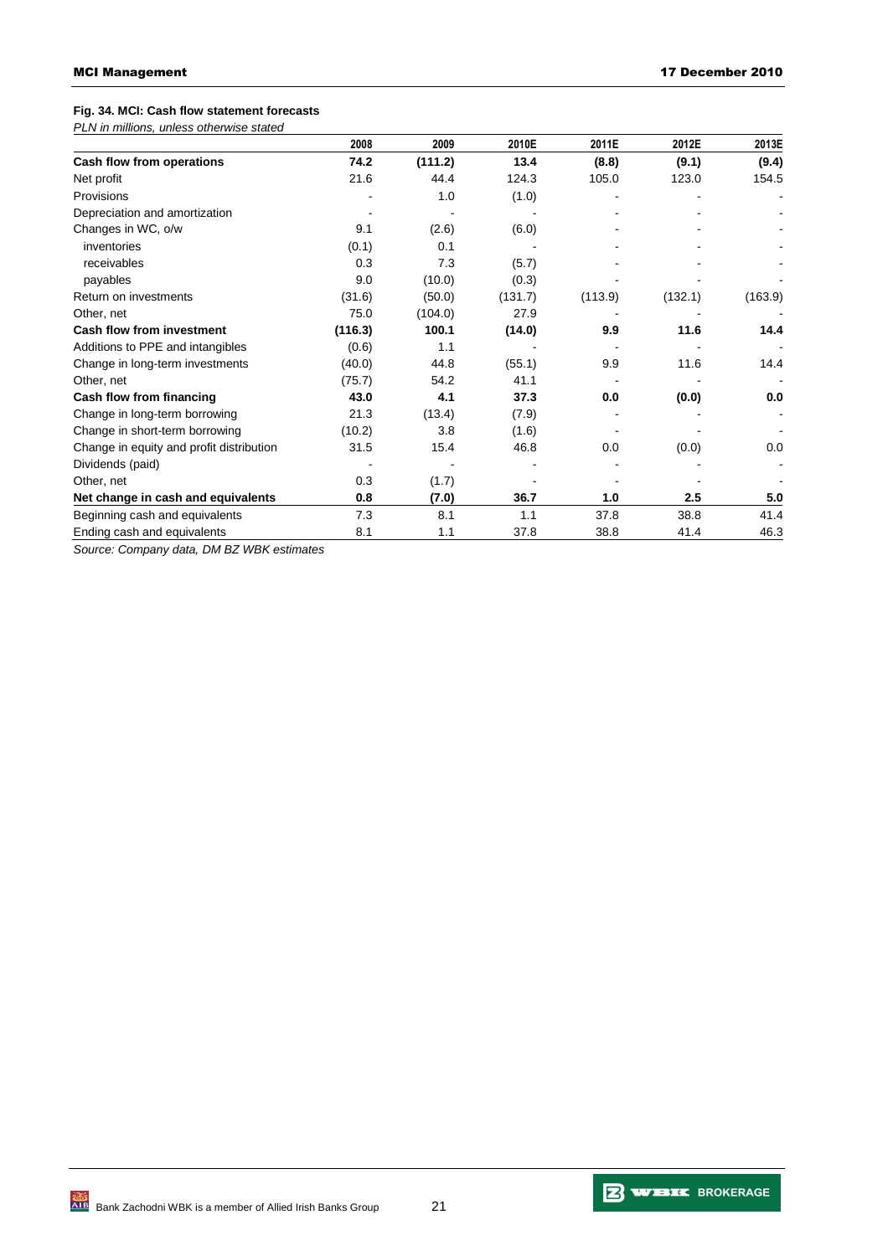### **Fig. 34. MCI: Cash flow statement forecasts**  PLN in milli

| PLN in millions, unless otherwise stated |         |         |         |         |         |         |
|------------------------------------------|---------|---------|---------|---------|---------|---------|
|                                          | 2008    | 2009    | 2010E   | 2011E   | 2012E   | 2013E   |
| Cash flow from operations                | 74.2    | (111.2) | 13.4    | (8.8)   | (9.1)   | (9.4)   |
| Net profit                               | 21.6    | 44.4    | 124.3   | 105.0   | 123.0   | 154.5   |
| Provisions                               |         | 1.0     | (1.0)   |         |         |         |
| Depreciation and amortization            |         |         |         |         |         |         |
| Changes in WC, o/w                       | 9.1     | (2.6)   | (6.0)   |         |         |         |
| inventories                              | (0.1)   | 0.1     |         |         |         |         |
| receivables                              | 0.3     | 7.3     | (5.7)   |         |         |         |
| payables                                 | 9.0     | (10.0)  | (0.3)   |         |         |         |
| Return on investments                    | (31.6)  | (50.0)  | (131.7) | (113.9) | (132.1) | (163.9) |
| Other, net                               | 75.0    | (104.0) | 27.9    |         |         |         |
| <b>Cash flow from investment</b>         | (116.3) | 100.1   | (14.0)  | 9.9     | 11.6    | 14.4    |
| Additions to PPE and intangibles         | (0.6)   | 1.1     |         |         |         |         |
| Change in long-term investments          | (40.0)  | 44.8    | (55.1)  | 9.9     | 11.6    | 14.4    |

Other, net (75.7) 54.2 41.1 - - - **Cash flow from financing 43.0 4.1 37.3 0.0 (0.0) 0.0**  Change in long-term borrowing 21.3 (13.4) (7.9)

Change in short-term borrowing (10.2) 3.8 (1.6) - - - Change in equity and profit distribution  $31.5$  15.4  $46.8$  0.0 (0.0) 0.0 Dividends (paid) - - - - - - Other, net 0.3 (1.7) - - - - **Net change in cash and equivalents 0.8 (7.0) 36.7 1.0 2.5 5.0**  Beginning cash and equivalents **7.3** 8.1 1.1 37.8 38.8 41.4 Ending cash and equivalents **8.1** 1.1 37.8 38.8 41.4 46.3 Source: Company data, DM BZ WBK estimates

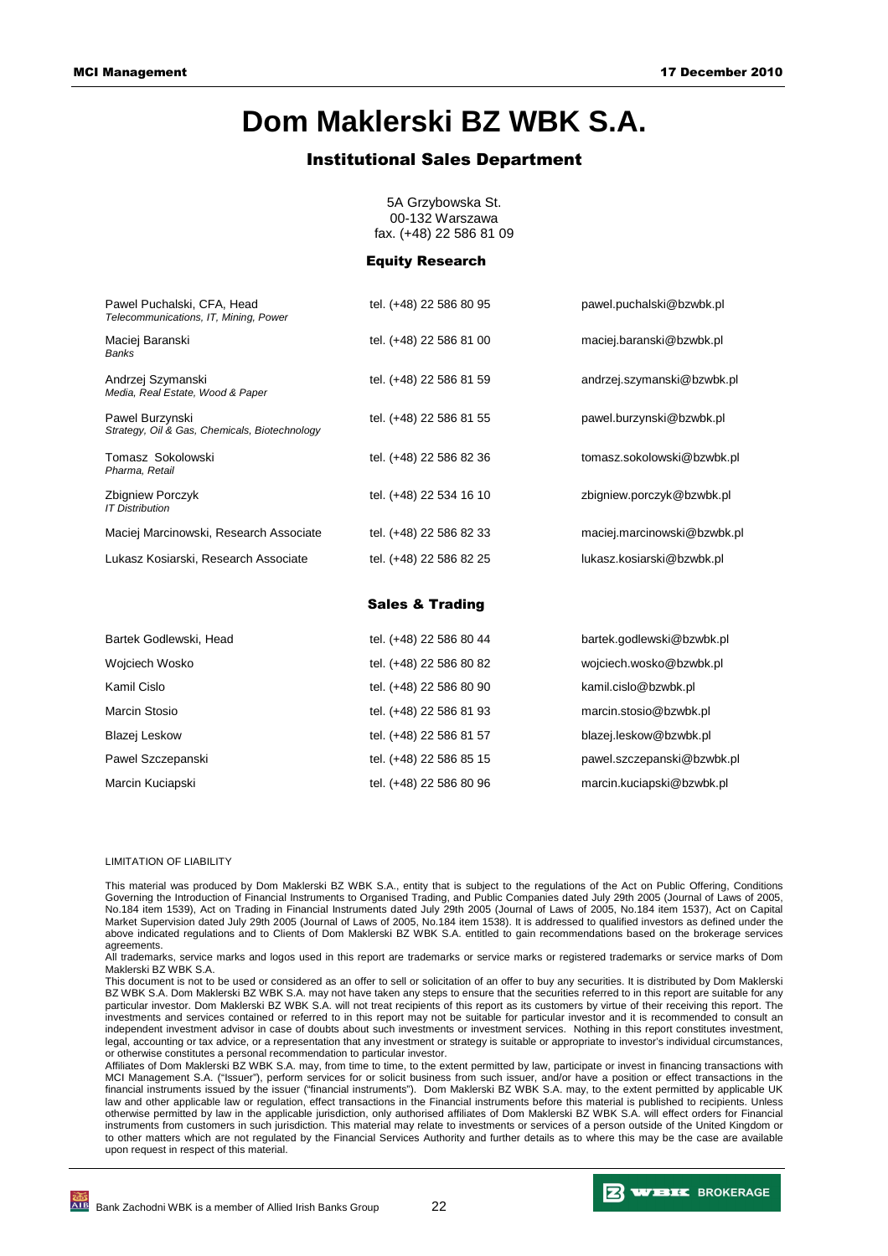# **Dom Maklerski BZ WBK S.A.**

## Institutional Sales Department

| 5A Grzybowska St.       |  |  |  |  |
|-------------------------|--|--|--|--|
| 00-132 Warszawa         |  |  |  |  |
| fax. (+48) 22 586 81 09 |  |  |  |  |

### Equity Research

| Pawel Puchalski, CFA, Head<br>Telecommunications, IT, Mining, Power | tel. (+48) 22 586 80 95    | pawel.puchalski@bzwbk.pl    |
|---------------------------------------------------------------------|----------------------------|-----------------------------|
| Maciej Baranski<br><b>Banks</b>                                     | tel. (+48) 22 586 81 00    | maciej.baranski@bzwbk.pl    |
| Andrzej Szymanski<br>Media, Real Estate, Wood & Paper               | tel. (+48) 22 586 81 59    | andrzej.szymanski@bzwbk.pl  |
| Pawel Burzynski<br>Strategy, Oil & Gas, Chemicals, Biotechnology    | tel. (+48) 22 586 81 55    | pawel.burzynski@bzwbk.pl    |
| Tomasz Sokolowski<br>Pharma, Retail                                 | tel. (+48) 22 586 82 36    | tomasz.sokolowski@bzwbk.pl  |
| Zbigniew Porczyk<br><b>IT Distribution</b>                          | tel. (+48) 22 534 16 10    | zbigniew.porczyk@bzwbk.pl   |
| Maciej Marcinowski, Research Associate                              | tel. (+48) 22 586 82 33    | maciej.marcinowski@bzwbk.pl |
| Lukasz Kosiarski, Research Associate                                | tel. (+48) 22 586 82 25    | lukasz.kosiarski@bzwbk.pl   |
|                                                                     | <b>Sales &amp; Trading</b> |                             |
| Bartek Godlewski, Head                                              | tel. (+48) 22 586 80 44    | bartek.godlewski@bzwbk.pl   |
| Wojciech Wosko                                                      | tel. (+48) 22 586 80 82    | wojciech.wosko@bzwbk.pl     |
| Kamil Cislo                                                         | tel. (+48) 22 586 80 90    | kamil.cislo@bzwbk.pl        |
| <b>Marcin Stosio</b>                                                | tel. (+48) 22 586 81 93    | marcin.stosio@bzwbk.pl      |

Blazej Leskow **blazej Leskow** tel. (+48) 22 586 81 57 blazej.leskow@bzwbk.pl Pawel Szczepanski bel. (+48) 22 586 85 15 pawel.szczepanski@bzwbk.pl

Marcin Kuciapski tel. (+48) 22 586 80 96 marcin.kuciapski@bzwbk.pl

#### LIMITATION OF LIABILITY

This material was produced by Dom Maklerski BZ WBK S.A., entity that is subject to the regulations of the Act on Public Offering, Conditions Governing the Introduction of Financial Instruments to Organised Trading, and Public Companies dated July 29th 2005 (Journal of Laws of 2005, No.184 item 1539), Act on Trading in Financial Instruments dated July 29th 2005 (Journal of Laws of 2005, No.184 item 1537), Act on Capital Market Supervision dated July 29th 2005 (Journal of Laws of 2005, No.184 item 1538). It is addressed to qualified investors as defined under the above indicated regulations and to Clients of Dom Maklerski BZ WBK S.A. entitled to gain recommendations based on the brokerage services agreements.

All trademarks, service marks and logos used in this report are trademarks or service marks or registered trademarks or service marks of Dom Maklerski BZ WBK S.A.

This document is not to be used or considered as an offer to sell or solicitation of an offer to buy any securities. It is distributed by Dom Maklerski BZ WBK S.A. Dom Maklerski BZ WBK S.A. may not have taken any steps to ensure that the securities referred to in this report are suitable for any particular investor. Dom Maklerski BZ WBK S.A. will not treat recipients of this report as its customers by virtue of their receiving this report. The investments and services contained or referred to in this report may not be suitable for particular investor and it is recommended to consult an independent investment advisor in case of doubts about such investments or investment services. Nothing in this report constitutes investment, legal, accounting or tax advice, or a representation that any investment or strategy is suitable or appropriate to investor's individual circumstances, or otherwise constitutes a personal recommendation to particular investor.

Affiliates of Dom Maklerski BZ WBK S.A. may, from time to time, to the extent permitted by law, participate or invest in financing transactions with MCI Management S.A. ("Issuer"), perform services for or solicit business from such issuer, and/or have a position or effect transactions in the financial instruments issued by the issuer ("financial instruments"). Dom Maklerski BZ WBK S.A. may, to the extent permitted by applicable UK law and other applicable law or regulation, effect transactions in the Financial instruments before this material is published to recipients. Unless otherwise permitted by law in the applicable jurisdiction, only authorised affiliates of Dom Maklerski BZ WBK S.A. will effect orders for Financial instruments from customers in such jurisdiction. This material may relate to investments or services of a person outside of the United Kingdom or to other matters which are not regulated by the Financial Services Authority and further details as to where this may be the case are available upon request in respect of this material.

**2 WEEK BROKERAGE**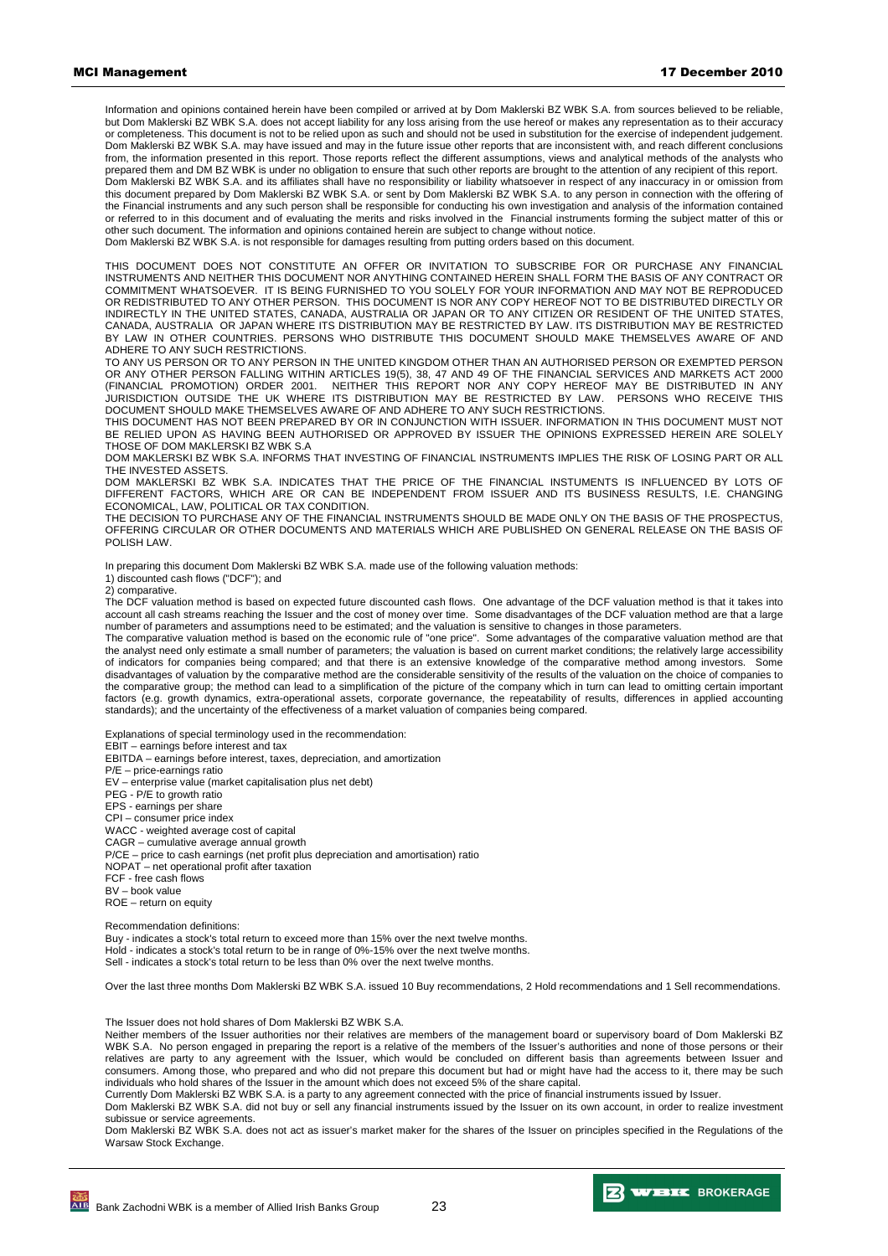Information and opinions contained herein have been compiled or arrived at by Dom Maklerski BZ WBK S.A. from sources believed to be reliable, but Dom Maklerski BZ WBK S.A. does not accept liability for any loss arising from the use hereof or makes any representation as to their accuracy or completeness. This document is not to be relied upon as such and should not be used in substitution for the exercise of independent judgement. Dom Maklerski BZ WBK S.A. may have issued and may in the future issue other reports that are inconsistent with, and reach different conclusions from, the information presented in this report. Those reports reflect the different assumptions, views and analytical methods of the analysts who prepared them and DM BZ WBK is under no obligation to ensure that such other reports are brought to the attention of any recipient of this report. Dom Maklerski BZ WBK S.A. and its affiliates shall have no responsibility or liability whatsoever in respect of any inaccuracy in or omission from this document prepared by Dom Maklerski BZ WBK S.A. or sent by Dom Maklerski BZ WBK S.A. to any person in connection with the offering of the Financial instruments and any such person shall be responsible for conducting his own investigation and analysis of the information contained or referred to in this document and of evaluating the merits and risks involved in the Financial instruments forming the subject matter of this or other such document. The information and opinions contained herein are subject to change without notice.

Dom Maklerski BZ WBK S.A. is not responsible for damages resulting from putting orders based on this document.

THIS DOCUMENT DOES NOT CONSTITUTE AN OFFER OR INVITATION TO SUBSCRIBE FOR OR PURCHASE ANY FINANCIAL INSTRUMENTS AND NEITHER THIS DOCUMENT NOR ANYTHING CONTAINED HEREIN SHALL FORM THE BASIS OF ANY CONTRACT OR COMMITMENT WHATSOEVER. IT IS BEING FURNISHED TO YOU SOLELY FOR YOUR INFORMATION AND MAY NOT BE REPRODUCED OR REDISTRIBUTED TO ANY OTHER PERSON. THIS DOCUMENT IS NOR ANY COPY HEREOF NOT TO BE DISTRIBUTED DIRECTLY OR INDIRECTLY IN THE UNITED STATES, CANADA, AUSTRALIA OR JAPAN OR TO ANY CITIZEN OR RESIDENT OF THE UNITED STATES, CANADA, AUSTRALIA OR JAPAN WHERE ITS DISTRIBUTION MAY BE RESTRICTED BY LAW. ITS DISTRIBUTION MAY BE RESTRICTED BY LAW IN OTHER COUNTRIES. PERSONS WHO DISTRIBUTE THIS DOCUMENT SHOULD MAKE THEMSELVES AWARE OF AND ADHERE TO ANY SUCH RESTRICTIONS.

TO ANY US PERSON OR TO ANY PERSON IN THE UNITED KINGDOM OTHER THAN AN AUTHORISED PERSON OR EXEMPTED PERSON OR ANY OTHER PERSON FALLING WITHIN ARTICLES 19(5), 38, 47 AND 49 OF THE FINANCIAL SERVICES AND MARKETS ACT 2000 (FINANCIAL PROMOTION) ORDER 2001. NEITHER THIS REPORT NOR ANY COPY HEREOF MAY BE DISTRIBUTED IN ANY JURISDICTION OUTSIDE THE UK WHERE ITS DISTRIBUTION MAY BE RESTRICTED BY LAW. PERSONS WHO RECEIVE THIS DOCUMENT SHOULD MAKE THEMSELVES AWARE OF AND ADHERE TO ANY SUCH RESTRICTIONS.

THIS DOCUMENT HAS NOT BEEN PREPARED BY OR IN CONJUNCTION WITH ISSUER. INFORMATION IN THIS DOCUMENT MUST NOT BE RELIED UPON AS HAVING BEEN AUTHORISED OR APPROVED BY ISSUER THE OPINIONS EXPRESSED HEREIN ARE SOLELY THOSE OF DOM MAKLERSKI BZ WBK S.A

DOM MAKLERSKI BZ WBK S.A. INFORMS THAT INVESTING OF FINANCIAL INSTRUMENTS IMPLIES THE RISK OF LOSING PART OR ALL THE INVESTED ASSETS.

DOM MAKLERSKI BZ WBK S.A. INDICATES THAT THE PRICE OF THE FINANCIAL INSTUMENTS IS INFLUENCED BY LOTS OF DIFFERENT FACTORS, WHICH ARE OR CAN BE INDEPENDENT FROM ISSUER AND ITS BUSINESS RESULTS, I.E. CHANGING ECONOMICAL, LAW, POLITICAL OR TAX CONDITION.

THE DECISION TO PURCHASE ANY OF THE FINANCIAL INSTRUMENTS SHOULD BE MADE ONLY ON THE BASIS OF THE PROSPECTUS, OFFERING CIRCULAR OR OTHER DOCUMENTS AND MATERIALS WHICH ARE PUBLISHED ON GENERAL RELEASE ON THE BASIS OF POLISH LAW.

In preparing this document Dom Maklerski BZ WBK S.A. made use of the following valuation methods:

1) discounted cash flows ("DCF"); and

2) comparative.

The DCF valuation method is based on expected future discounted cash flows. One advantage of the DCF valuation method is that it takes into account all cash streams reaching the Issuer and the cost of money over time. Some disadvantages of the DCF valuation method are that a large number of parameters and assumptions need to be estimated; and the valuation is sensitive to changes in those parameters.

The comparative valuation method is based on the economic rule of "one price". Some advantages of the comparative valuation method are that the analyst need only estimate a small number of parameters; the valuation is based on current market conditions; the relatively large accessibility of indicators for companies being compared; and that there is an extensive knowledge of the comparative method among investors. Some disadvantages of valuation by the comparative method are the considerable sensitivity of the results of the valuation on the choice of companies to the comparative group; the method can lead to a simplification of the picture of the company which in turn can lead to omitting certain important factors (e.g. growth dynamics, extra-operational assets, corporate governance, the repeatability of results, differences in applied accounting standards); and the uncertainty of the effectiveness of a market valuation of companies being compared.

Explanations of special terminology used in the recommendation: EBIT – earnings before interest and tax EBITDA – earnings before interest, taxes, depreciation, and amortization P/E – price-earnings ratio EV – enterprise value (market capitalisation plus net debt) PEG - P/E to growth ratio EPS - earnings per share CPI – consumer price index WACC - weighted average cost of capital CAGR – cumulative average annual growth P/CE – price to cash earnings (net profit plus depreciation and amortisation) ratio NOPAT – net operational profit after taxation FCF - free cash flows BV – book value ROE – return on equity Recommendation definitions:

Buy - indicates a stock's total return to exceed more than 15% over the next twelve months. Hold - indicates a stock's total return to be in range of 0%-15% over the next twelve months. Sell - indicates a stock's total return to be less than 0% over the next twelve months.

Over the last three months Dom Maklerski BZ WBK S.A. issued 10 Buy recommendations, 2 Hold recommendations and 1 Sell recommendations.

The Issuer does not hold shares of Dom Maklerski BZ WBK S.A.

Neither members of the Issuer authorities nor their relatives are members of the management board or supervisory board of Dom Maklerski BZ WBK S.A. No person engaged in preparing the report is a relative of the members of the Issuer's authorities and none of those persons or their relatives are party to any agreement with the Issuer, which would be concluded on different basis than agreements between Issuer and consumers. Among those, who prepared and who did not prepare this document but had or might have had the access to it, there may be such individuals who hold shares of the Issuer in the amount which does not exceed 5% of the share capital.

Currently Dom Maklerski BZ WBK S.A. is a party to any agreement connected with the price of financial instruments issued by Issuer.

Dom Maklerski BZ WBK S.A. did not buy or sell any financial instruments issued by the Issuer on its own account, in order to realize investment subissue or service agreements.

Dom Maklerski BZ WBK S.A. does not act as issuer's market maker for the shares of the Issuer on principles specified in the Regulations of the Warsaw Stock Exchange.